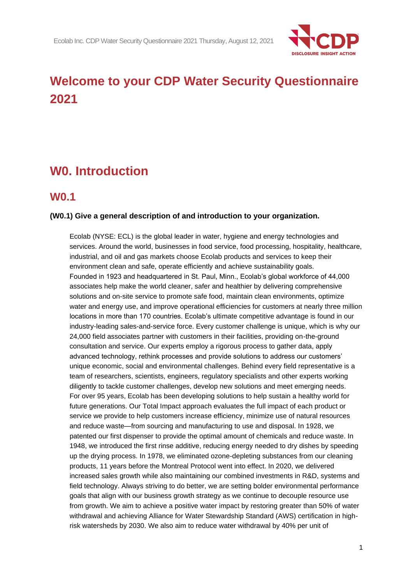

# **Welcome to your CDP Water Security Questionnaire 2021**

# **W0. Introduction**

# **W0.1**

## **(W0.1) Give a general description of and introduction to your organization.**

Ecolab (NYSE: ECL) is the global leader in water, hygiene and energy technologies and services. Around the world, businesses in food service, food processing, hospitality, healthcare, industrial, and oil and gas markets choose Ecolab products and services to keep their environment clean and safe, operate efficiently and achieve sustainability goals. Founded in 1923 and headquartered in St. Paul, Minn., Ecolab's global workforce of 44,000 associates help make the world cleaner, safer and healthier by delivering comprehensive solutions and on-site service to promote safe food, maintain clean environments, optimize water and energy use, and improve operational efficiencies for customers at nearly three million locations in more than 170 countries. Ecolab's ultimate competitive advantage is found in our industry-leading sales-and-service force. Every customer challenge is unique, which is why our 24,000 field associates partner with customers in their facilities, providing on-the-ground consultation and service. Our experts employ a rigorous process to gather data, apply advanced technology, rethink processes and provide solutions to address our customers' unique economic, social and environmental challenges. Behind every field representative is a team of researchers, scientists, engineers, regulatory specialists and other experts working diligently to tackle customer challenges, develop new solutions and meet emerging needs. For over 95 years, Ecolab has been developing solutions to help sustain a healthy world for future generations. Our Total Impact approach evaluates the full impact of each product or service we provide to help customers increase efficiency, minimize use of natural resources and reduce waste—from sourcing and manufacturing to use and disposal. In 1928, we patented our first dispenser to provide the optimal amount of chemicals and reduce waste. In 1948, we introduced the first rinse additive, reducing energy needed to dry dishes by speeding up the drying process. In 1978, we eliminated ozone-depleting substances from our cleaning products, 11 years before the Montreal Protocol went into effect. In 2020, we delivered increased sales growth while also maintaining our combined investments in R&D, systems and field technology. Always striving to do better, we are setting bolder environmental performance goals that align with our business growth strategy as we continue to decouple resource use from growth. We aim to achieve a positive water impact by restoring greater than 50% of water withdrawal and achieving Alliance for Water Stewardship Standard (AWS) certification in highrisk watersheds by 2030. We also aim to reduce water withdrawal by 40% per unit of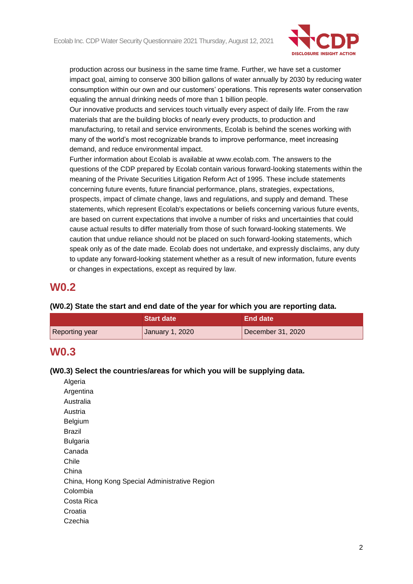

production across our business in the same time frame. Further, we have set a customer impact goal, aiming to conserve 300 billion gallons of water annually by 2030 by reducing water consumption within our own and our customers' operations. This represents water conservation equaling the annual drinking needs of more than 1 billion people.

Our innovative products and services touch virtually every aspect of daily life. From the raw materials that are the building blocks of nearly every products, to production and manufacturing, to retail and service environments, Ecolab is behind the scenes working with many of the world's most recognizable brands to improve performance, meet increasing demand, and reduce environmental impact.

Further information about Ecolab is available at www.ecolab.com. The answers to the questions of the CDP prepared by Ecolab contain various forward-looking statements within the meaning of the Private Securities Litigation Reform Act of 1995. These include statements concerning future events, future financial performance, plans, strategies, expectations, prospects, impact of climate change, laws and regulations, and supply and demand. These statements, which represent Ecolab's expectations or beliefs concerning various future events, are based on current expectations that involve a number of risks and uncertainties that could cause actual results to differ materially from those of such forward-looking statements. We caution that undue reliance should not be placed on such forward-looking statements, which speak only as of the date made. Ecolab does not undertake, and expressly disclaims, any duty to update any forward-looking statement whether as a result of new information, future events or changes in expectations, except as required by law.

# **W0.2**

## **(W0.2) State the start and end date of the year for which you are reporting data.**

|                | Start date      | ⊾End date \       |
|----------------|-----------------|-------------------|
| Reporting year | January 1, 2020 | December 31, 2020 |

# **W0.3**

## **(W0.3) Select the countries/areas for which you will be supplying data.**

| Algeria                                        |
|------------------------------------------------|
| Argentina                                      |
| Australia                                      |
| Austria                                        |
| <b>Belgium</b>                                 |
| Brazil                                         |
| <b>Bulgaria</b>                                |
| Canada                                         |
| Chile                                          |
| China                                          |
| China, Hong Kong Special Administrative Region |
| Colombia                                       |
| Costa Rica                                     |
| Croatia                                        |
| Czechia                                        |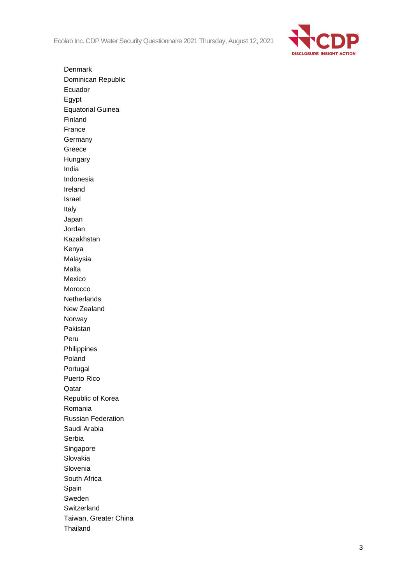Ecolab Inc. CDP Water Security Questionnaire 2021 Thursday, August 12, 2021



Denmark Dominican Republic Ecuador Egypt Equatorial Guinea Finland France **Germany** Greece Hungary India Indonesia Ireland Israel Italy Japan Jordan Kazakhstan Kenya Malaysia Malta Mexico Morocco Netherlands New Zealand Norway Pakistan Peru Philippines Poland Portugal Puerto Rico Qatar Republic of Korea Romania Russian Federation Saudi Arabia Serbia Singapore Slovakia Slovenia South Africa Spain Sweden **Switzerland** Taiwan, Greater China Thailand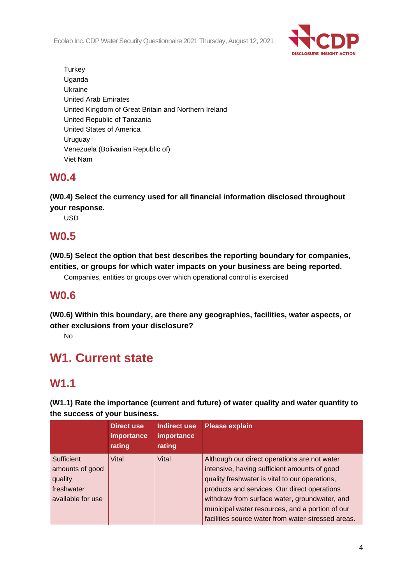Ecolab Inc. CDP Water Security Questionnaire 2021 Thursday, August 12, 2021



**Turkey** Uganda Ukraine United Arab Emirates United Kingdom of Great Britain and Northern Ireland United Republic of Tanzania United States of America Uruguay Venezuela (Bolivarian Republic of) Viet Nam

# **W0.4**

**(W0.4) Select the currency used for all financial information disclosed throughout your response.**

USD

# **W0.5**

**(W0.5) Select the option that best describes the reporting boundary for companies, entities, or groups for which water impacts on your business are being reported.**

Companies, entities or groups over which operational control is exercised

# **W0.6**

**(W0.6) Within this boundary, are there any geographies, facilities, water aspects, or other exclusions from your disclosure?**

No

# **W1. Current state**

# **W1.1**

**(W1.1) Rate the importance (current and future) of water quality and water quantity to the success of your business.**

|                                                                             | Direct use<br><b>importance</b><br>rating | Indirect use<br>importance<br>rating | <b>Please explain</b>                                                                                                                                                                                                                                                                                                                                    |
|-----------------------------------------------------------------------------|-------------------------------------------|--------------------------------------|----------------------------------------------------------------------------------------------------------------------------------------------------------------------------------------------------------------------------------------------------------------------------------------------------------------------------------------------------------|
| Sufficient<br>amounts of good<br>quality<br>freshwater<br>available for use | Vital                                     | Vital                                | Although our direct operations are not water<br>intensive, having sufficient amounts of good<br>quality freshwater is vital to our operations,<br>products and services. Our direct operations<br>withdraw from surface water, groundwater, and<br>municipal water resources, and a portion of our<br>facilities source water from water-stressed areas. |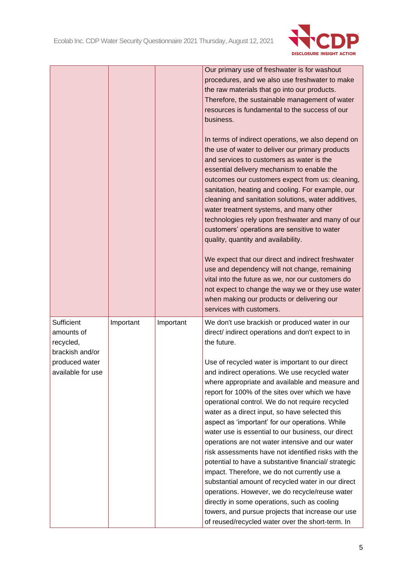

|                                                                                                 |           |           | Our primary use of freshwater is for washout<br>procedures, and we also use freshwater to make<br>the raw materials that go into our products.<br>Therefore, the sustainable management of water<br>resources is fundamental to the success of our<br>business.<br>In terms of indirect operations, we also depend on<br>the use of water to deliver our primary products<br>and services to customers as water is the<br>essential delivery mechanism to enable the<br>outcomes our customers expect from us: cleaning,<br>sanitation, heating and cooling. For example, our<br>cleaning and sanitation solutions, water additives,<br>water treatment systems, and many other<br>technologies rely upon freshwater and many of our<br>customers' operations are sensitive to water<br>quality, quantity and availability.<br>We expect that our direct and indirect freshwater<br>use and dependency will not change, remaining<br>vital into the future as we, nor our customers do<br>not expect to change the way we or they use water<br>when making our products or delivering our |
|-------------------------------------------------------------------------------------------------|-----------|-----------|-------------------------------------------------------------------------------------------------------------------------------------------------------------------------------------------------------------------------------------------------------------------------------------------------------------------------------------------------------------------------------------------------------------------------------------------------------------------------------------------------------------------------------------------------------------------------------------------------------------------------------------------------------------------------------------------------------------------------------------------------------------------------------------------------------------------------------------------------------------------------------------------------------------------------------------------------------------------------------------------------------------------------------------------------------------------------------------------|
| Sufficient<br>amounts of<br>recycled,<br>brackish and/or<br>produced water<br>available for use | Important | Important | services with customers.<br>We don't use brackish or produced water in our<br>direct/ indirect operations and don't expect to in<br>the future.<br>Use of recycled water is important to our direct<br>and indirect operations. We use recycled water<br>where appropriate and available and measure and<br>report for 100% of the sites over which we have<br>operational control. We do not require recycled<br>water as a direct input, so have selected this<br>aspect as 'important' for our operations. While<br>water use is essential to our business, our direct<br>operations are not water intensive and our water<br>risk assessments have not identified risks with the<br>potential to have a substantive financial/ strategic<br>impact. Therefore, we do not currently use a<br>substantial amount of recycled water in our direct<br>operations. However, we do recycle/reuse water<br>directly in some operations, such as cooling<br>towers, and pursue projects that increase our use<br>of reused/recycled water over the short-term. In                             |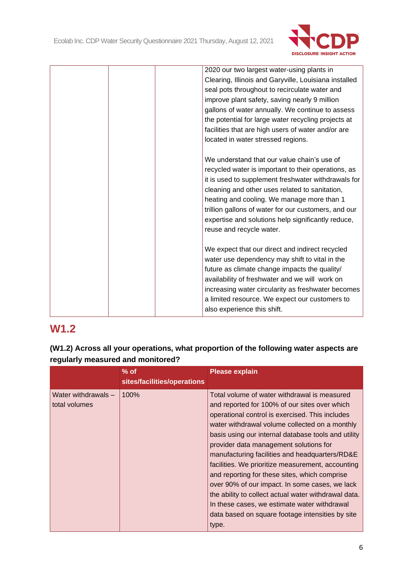

|  | 2020 our two largest water-using plants in            |
|--|-------------------------------------------------------|
|  | Clearing, Illinois and Garyville, Louisiana installed |
|  | seal pots throughout to recirculate water and         |
|  | improve plant safety, saving nearly 9 million         |
|  | gallons of water annually. We continue to assess      |
|  | the potential for large water recycling projects at   |
|  | facilities that are high users of water and/or are    |
|  | located in water stressed regions.                    |
|  | We understand that our value chain's use of           |
|  |                                                       |
|  | recycled water is important to their operations, as   |
|  | it is used to supplement freshwater withdrawals for   |
|  | cleaning and other uses related to sanitation,        |
|  | heating and cooling. We manage more than 1            |
|  | trillion gallons of water for our customers, and our  |
|  | expertise and solutions help significantly reduce,    |
|  | reuse and recycle water.                              |
|  | We expect that our direct and indirect recycled       |
|  | water use dependency may shift to vital in the        |
|  | future as climate change impacts the quality/         |
|  | availability of freshwater and we will work on        |
|  | increasing water circularity as freshwater becomes    |
|  | a limited resource. We expect our customers to        |
|  | also experience this shift.                           |
|  |                                                       |

# **W1.2**

**(W1.2) Across all your operations, what proportion of the following water aspects are regularly measured and monitored?**

|                                      | $%$ of<br>sites/facilities/operations | <b>Please explain</b>                                                                                                                                                                                                                                                                                                                                                                                                                                                                                                                                                                                                                                                              |
|--------------------------------------|---------------------------------------|------------------------------------------------------------------------------------------------------------------------------------------------------------------------------------------------------------------------------------------------------------------------------------------------------------------------------------------------------------------------------------------------------------------------------------------------------------------------------------------------------------------------------------------------------------------------------------------------------------------------------------------------------------------------------------|
| Water withdrawals -<br>total volumes | 100%                                  | Total volume of water withdrawal is measured<br>and reported for 100% of our sites over which<br>operational control is exercised. This includes<br>water withdrawal volume collected on a monthly<br>basis using our internal database tools and utility<br>provider data management solutions for<br>manufacturing facilities and headquarters/RD&E<br>facilities. We prioritize measurement, accounting<br>and reporting for these sites, which comprise<br>over 90% of our impact. In some cases, we lack<br>the ability to collect actual water withdrawal data.<br>In these cases, we estimate water withdrawal<br>data based on square footage intensities by site<br>type. |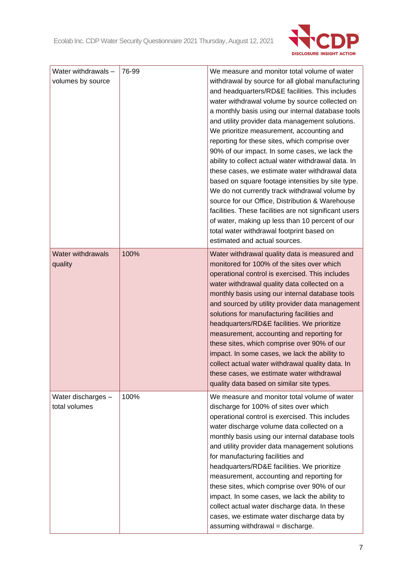

| Water withdrawals -<br>volumes by source | 76-99 | We measure and monitor total volume of water<br>withdrawal by source for all global manufacturing<br>and headquarters/RD&E facilities. This includes<br>water withdrawal volume by source collected on<br>a monthly basis using our internal database tools<br>and utility provider data management solutions.<br>We prioritize measurement, accounting and<br>reporting for these sites, which comprise over<br>90% of our impact. In some cases, we lack the<br>ability to collect actual water withdrawal data. In<br>these cases, we estimate water withdrawal data<br>based on square footage intensities by site type.<br>We do not currently track withdrawal volume by<br>source for our Office, Distribution & Warehouse<br>facilities. These facilities are not significant users<br>of water, making up less than 10 percent of our<br>total water withdrawal footprint based on<br>estimated and actual sources. |
|------------------------------------------|-------|------------------------------------------------------------------------------------------------------------------------------------------------------------------------------------------------------------------------------------------------------------------------------------------------------------------------------------------------------------------------------------------------------------------------------------------------------------------------------------------------------------------------------------------------------------------------------------------------------------------------------------------------------------------------------------------------------------------------------------------------------------------------------------------------------------------------------------------------------------------------------------------------------------------------------|
| <b>Water withdrawals</b><br>quality      | 100%  | Water withdrawal quality data is measured and<br>monitored for 100% of the sites over which<br>operational control is exercised. This includes<br>water withdrawal quality data collected on a<br>monthly basis using our internal database tools<br>and sourced by utility provider data management<br>solutions for manufacturing facilities and<br>headquarters/RD&E facilities. We prioritize<br>measurement, accounting and reporting for<br>these sites, which comprise over 90% of our<br>impact. In some cases, we lack the ability to<br>collect actual water withdrawal quality data. In<br>these cases, we estimate water withdrawal<br>quality data based on similar site types.                                                                                                                                                                                                                                 |
| Water discharges -<br>total volumes      | 100%  | We measure and monitor total volume of water<br>discharge for 100% of sites over which<br>operational control is exercised. This includes<br>water discharge volume data collected on a<br>monthly basis using our internal database tools<br>and utility provider data management solutions<br>for manufacturing facilities and<br>headquarters/RD&E facilities. We prioritize<br>measurement, accounting and reporting for<br>these sites, which comprise over 90% of our<br>impact. In some cases, we lack the ability to<br>collect actual water discharge data. In these<br>cases, we estimate water discharge data by<br>assuming withdrawal = discharge.                                                                                                                                                                                                                                                              |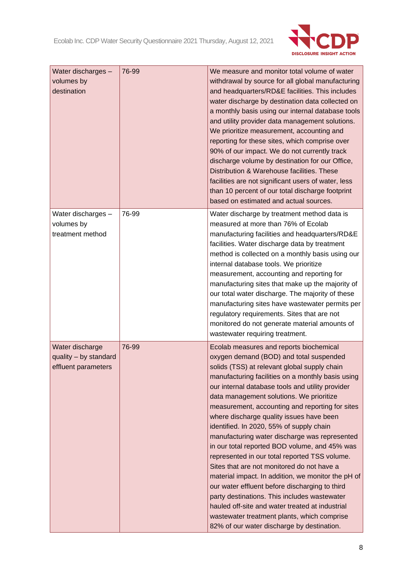

| Water discharges -<br>volumes by<br>destination                 | 76-99 | We measure and monitor total volume of water<br>withdrawal by source for all global manufacturing<br>and headquarters/RD&E facilities. This includes<br>water discharge by destination data collected on<br>a monthly basis using our internal database tools<br>and utility provider data management solutions.<br>We prioritize measurement, accounting and<br>reporting for these sites, which comprise over<br>90% of our impact. We do not currently track<br>discharge volume by destination for our Office,<br>Distribution & Warehouse facilities. These<br>facilities are not significant users of water, less<br>than 10 percent of our total discharge footprint<br>based on estimated and actual sources.                                                                                                                                                                                                                       |
|-----------------------------------------------------------------|-------|---------------------------------------------------------------------------------------------------------------------------------------------------------------------------------------------------------------------------------------------------------------------------------------------------------------------------------------------------------------------------------------------------------------------------------------------------------------------------------------------------------------------------------------------------------------------------------------------------------------------------------------------------------------------------------------------------------------------------------------------------------------------------------------------------------------------------------------------------------------------------------------------------------------------------------------------|
| Water discharges -<br>volumes by<br>treatment method            | 76-99 | Water discharge by treatment method data is<br>measured at more than 76% of Ecolab<br>manufacturing facilities and headquarters/RD&E<br>facilities. Water discharge data by treatment<br>method is collected on a monthly basis using our<br>internal database tools. We prioritize<br>measurement, accounting and reporting for<br>manufacturing sites that make up the majority of<br>our total water discharge. The majority of these<br>manufacturing sites have wastewater permits per<br>regulatory requirements. Sites that are not<br>monitored do not generate material amounts of<br>wastewater requiring treatment.                                                                                                                                                                                                                                                                                                              |
| Water discharge<br>quality - by standard<br>effluent parameters | 76-99 | Ecolab measures and reports biochemical<br>oxygen demand (BOD) and total suspended<br>solids (TSS) at relevant global supply chain<br>manufacturing facilities on a monthly basis using<br>our internal database tools and utility provider<br>data management solutions. We prioritize<br>measurement, accounting and reporting for sites<br>where discharge quality issues have been<br>identified. In 2020, 55% of supply chain<br>manufacturing water discharge was represented<br>in our total reported BOD volume, and 45% was<br>represented in our total reported TSS volume.<br>Sites that are not monitored do not have a<br>material impact. In addition, we monitor the pH of<br>our water effluent before discharging to third<br>party destinations. This includes wastewater<br>hauled off-site and water treated at industrial<br>wastewater treatment plants, which comprise<br>82% of our water discharge by destination. |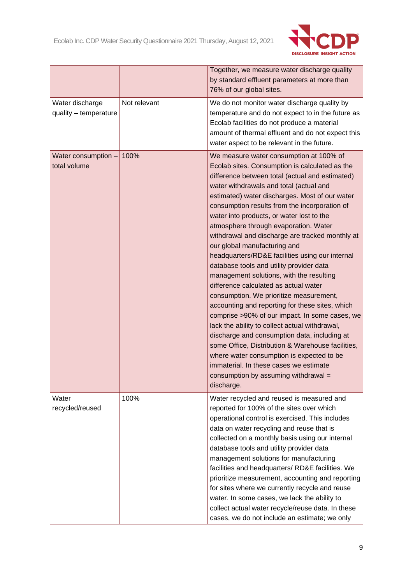

|                                          |              | Together, we measure water discharge quality<br>by standard effluent parameters at more than<br>76% of our global sites.                                                                                                                                                                                                                                                                                                                                                                                                                                                                                                                                                                                                                                                                                                                                                                                                                                                                                                                                                                                    |
|------------------------------------------|--------------|-------------------------------------------------------------------------------------------------------------------------------------------------------------------------------------------------------------------------------------------------------------------------------------------------------------------------------------------------------------------------------------------------------------------------------------------------------------------------------------------------------------------------------------------------------------------------------------------------------------------------------------------------------------------------------------------------------------------------------------------------------------------------------------------------------------------------------------------------------------------------------------------------------------------------------------------------------------------------------------------------------------------------------------------------------------------------------------------------------------|
| Water discharge<br>quality - temperature | Not relevant | We do not monitor water discharge quality by<br>temperature and do not expect to in the future as<br>Ecolab facilities do not produce a material<br>amount of thermal effluent and do not expect this<br>water aspect to be relevant in the future.                                                                                                                                                                                                                                                                                                                                                                                                                                                                                                                                                                                                                                                                                                                                                                                                                                                         |
| Water consumption -<br>total volume      | 100%         | We measure water consumption at 100% of<br>Ecolab sites. Consumption is calculated as the<br>difference between total (actual and estimated)<br>water withdrawals and total (actual and<br>estimated) water discharges. Most of our water<br>consumption results from the incorporation of<br>water into products, or water lost to the<br>atmosphere through evaporation. Water<br>withdrawal and discharge are tracked monthly at<br>our global manufacturing and<br>headquarters/RD&E facilities using our internal<br>database tools and utility provider data<br>management solutions, with the resulting<br>difference calculated as actual water<br>consumption. We prioritize measurement,<br>accounting and reporting for these sites, which<br>comprise >90% of our impact. In some cases, we<br>lack the ability to collect actual withdrawal,<br>discharge and consumption data, including at<br>some Office, Distribution & Warehouse facilities,<br>where water consumption is expected to be<br>immaterial. In these cases we estimate<br>consumption by assuming withdrawal =<br>discharge. |
| Water<br>recycled/reused                 | 100%         | Water recycled and reused is measured and<br>reported for 100% of the sites over which<br>operational control is exercised. This includes<br>data on water recycling and reuse that is<br>collected on a monthly basis using our internal<br>database tools and utility provider data<br>management solutions for manufacturing<br>facilities and headquarters/ RD&E facilities. We<br>prioritize measurement, accounting and reporting<br>for sites where we currently recycle and reuse<br>water. In some cases, we lack the ability to<br>collect actual water recycle/reuse data. In these<br>cases, we do not include an estimate; we only                                                                                                                                                                                                                                                                                                                                                                                                                                                             |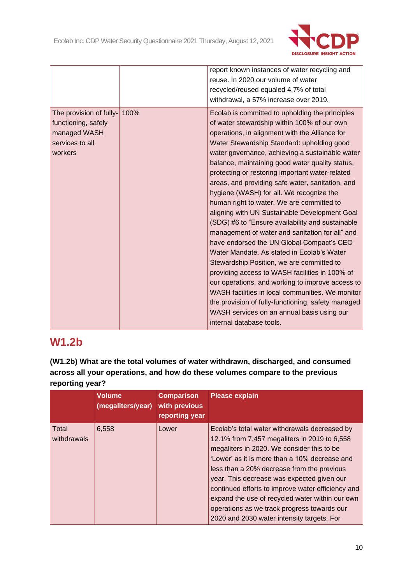

|                                                                                              |      | report known instances of water recycling and<br>reuse. In 2020 our volume of water<br>recycled/reused equaled 4.7% of total<br>withdrawal, a 57% increase over 2019.                                                                                                                                                                                                                                                                                                                                                                                                                                                                                                                                                                                                                                                                                                                                                                                                                                                                                                                          |
|----------------------------------------------------------------------------------------------|------|------------------------------------------------------------------------------------------------------------------------------------------------------------------------------------------------------------------------------------------------------------------------------------------------------------------------------------------------------------------------------------------------------------------------------------------------------------------------------------------------------------------------------------------------------------------------------------------------------------------------------------------------------------------------------------------------------------------------------------------------------------------------------------------------------------------------------------------------------------------------------------------------------------------------------------------------------------------------------------------------------------------------------------------------------------------------------------------------|
| The provision of fully-<br>functioning, safely<br>managed WASH<br>services to all<br>workers | 100% | Ecolab is committed to upholding the principles<br>of water stewardship within 100% of our own<br>operations, in alignment with the Alliance for<br>Water Stewardship Standard: upholding good<br>water governance, achieving a sustainable water<br>balance, maintaining good water quality status,<br>protecting or restoring important water-related<br>areas, and providing safe water, sanitation, and<br>hygiene (WASH) for all. We recognize the<br>human right to water. We are committed to<br>aligning with UN Sustainable Development Goal<br>(SDG) #6 to "Ensure availability and sustainable<br>management of water and sanitation for all" and<br>have endorsed the UN Global Compact's CEO<br>Water Mandate. As stated in Ecolab's Water<br>Stewardship Position, we are committed to<br>providing access to WASH facilities in 100% of<br>our operations, and working to improve access to<br>WASH facilities in local communities. We monitor<br>the provision of fully-functioning, safety managed<br>WASH services on an annual basis using our<br>internal database tools. |

# **W1.2b**

**(W1.2b) What are the total volumes of water withdrawn, discharged, and consumed across all your operations, and how do these volumes compare to the previous reporting year?**

|                      | <b>Volume</b><br>(megaliters/year) | <b>Comparison</b><br>with previous<br>reporting year | <b>Please explain</b>                                                                                                                                                                                                                                                                                                                                                                                                                                                                         |
|----------------------|------------------------------------|------------------------------------------------------|-----------------------------------------------------------------------------------------------------------------------------------------------------------------------------------------------------------------------------------------------------------------------------------------------------------------------------------------------------------------------------------------------------------------------------------------------------------------------------------------------|
| Total<br>withdrawals | 6,558                              | Lower                                                | Ecolab's total water withdrawals decreased by<br>12.1% from 7,457 megaliters in 2019 to 6,558<br>megaliters in 2020. We consider this to be<br>'Lower' as it is more than a 10% decrease and<br>less than a 20% decrease from the previous<br>year. This decrease was expected given our<br>continued efforts to improve water efficiency and<br>expand the use of recycled water within our own<br>operations as we track progress towards our<br>2020 and 2030 water intensity targets. For |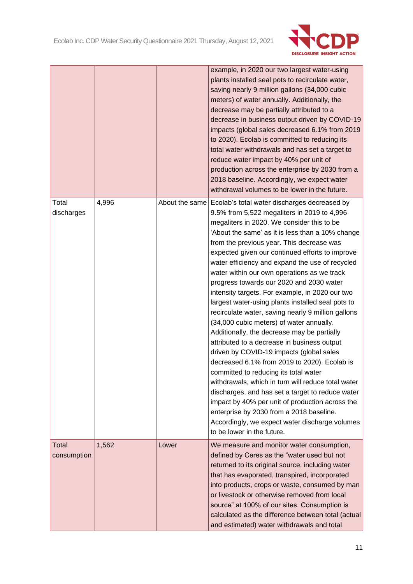

|                      |       |                | example, in 2020 our two largest water-using<br>plants installed seal pots to recirculate water,<br>saving nearly 9 million gallons (34,000 cubic<br>meters) of water annually. Additionally, the<br>decrease may be partially attributed to a<br>decrease in business output driven by COVID-19<br>impacts (global sales decreased 6.1% from 2019<br>to 2020). Ecolab is committed to reducing its<br>total water withdrawals and has set a target to<br>reduce water impact by 40% per unit of<br>production across the enterprise by 2030 from a<br>2018 baseline. Accordingly, we expect water<br>withdrawal volumes to be lower in the future.                                                                                                                                                                                                                                                                                                                                                                                                                                                                                                                               |
|----------------------|-------|----------------|-----------------------------------------------------------------------------------------------------------------------------------------------------------------------------------------------------------------------------------------------------------------------------------------------------------------------------------------------------------------------------------------------------------------------------------------------------------------------------------------------------------------------------------------------------------------------------------------------------------------------------------------------------------------------------------------------------------------------------------------------------------------------------------------------------------------------------------------------------------------------------------------------------------------------------------------------------------------------------------------------------------------------------------------------------------------------------------------------------------------------------------------------------------------------------------|
| Total<br>discharges  | 4,996 | About the same | Ecolab's total water discharges decreased by<br>9.5% from 5,522 megaliters in 2019 to 4,996<br>megaliters in 2020. We consider this to be<br>'About the same' as it is less than a 10% change<br>from the previous year. This decrease was<br>expected given our continued efforts to improve<br>water efficiency and expand the use of recycled<br>water within our own operations as we track<br>progress towards our 2020 and 2030 water<br>intensity targets. For example, in 2020 our two<br>largest water-using plants installed seal pots to<br>recirculate water, saving nearly 9 million gallons<br>(34,000 cubic meters) of water annually.<br>Additionally, the decrease may be partially<br>attributed to a decrease in business output<br>driven by COVID-19 impacts (global sales<br>decreased 6.1% from 2019 to 2020). Ecolab is<br>committed to reducing its total water<br>withdrawals, which in turn will reduce total water<br>discharges, and has set a target to reduce water<br>impact by 40% per unit of production across the<br>enterprise by 2030 from a 2018 baseline.<br>Accordingly, we expect water discharge volumes<br>to be lower in the future. |
| Total<br>consumption | 1,562 | Lower          | We measure and monitor water consumption,<br>defined by Ceres as the "water used but not<br>returned to its original source, including water<br>that has evaporated, transpired, incorporated<br>into products, crops or waste, consumed by man<br>or livestock or otherwise removed from local<br>source" at 100% of our sites. Consumption is<br>calculated as the difference between total (actual<br>and estimated) water withdrawals and total                                                                                                                                                                                                                                                                                                                                                                                                                                                                                                                                                                                                                                                                                                                               |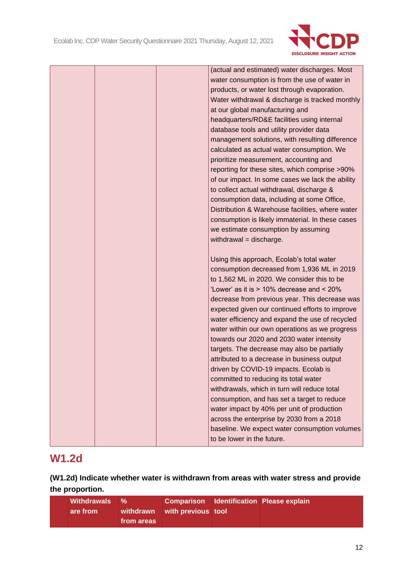

| (actual and estimated) water discharges. Most    |
|--------------------------------------------------|
| water consumption is from the use of water in    |
| products, or water lost through evaporation.     |
| Water withdrawal & discharge is tracked monthly  |
| at our global manufacturing and                  |
| headquarters/RD&E facilities using internal      |
| database tools and utility provider data         |
| management solutions, with resulting difference  |
| calculated as actual water consumption. We       |
| prioritize measurement, accounting and           |
| reporting for these sites, which comprise >90%   |
| of our impact. In some cases we lack the ability |
| to collect actual withdrawal, discharge &        |
| consumption data, including at some Office,      |
| Distribution & Warehouse facilities, where water |
| consumption is likely immaterial. In these cases |
| we estimate consumption by assuming              |
| withdrawal = discharge.                          |
|                                                  |
| Using this approach, Ecolab's total water        |
| consumption decreased from 1,936 ML in 2019      |
| to 1,562 ML in 2020. We consider this to be      |
| 'Lower' as it is > 10% decrease and < 20%        |
| decrease from previous year. This decrease was   |
| expected given our continued efforts to improve  |
| water efficiency and expand the use of recycled  |
| water within our own operations as we progress   |
| towards our 2020 and 2030 water intensity        |
| targets. The decrease may also be partially      |
| attributed to a decrease in business output      |
| driven by COVID-19 impacts. Ecolab is            |
| committed to reducing its total water            |
| withdrawals, which in turn will reduce total     |
| consumption, and has set a target to reduce      |
| water impact by 40% per unit of production       |
| across the enterprise by 2030 from a 2018        |
| baseline. We expect water consumption volumes    |
|                                                  |
| to be lower in the future.                       |

# **W1.2d**

**(W1.2d) Indicate whether water is withdrawn from areas with water stress and provide the proportion.**

| Withdrawals % |            |                              | <b>Comparison Identification Please explain</b> |
|---------------|------------|------------------------------|-------------------------------------------------|
| are from      |            | withdrawn with previous tool |                                                 |
|               | from areas |                              |                                                 |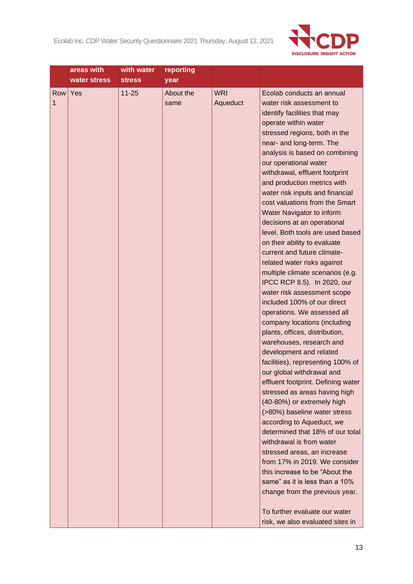

|     | areas with   | with water    | reporting |            |                                                                 |
|-----|--------------|---------------|-----------|------------|-----------------------------------------------------------------|
|     | water stress | <b>stress</b> | year      |            |                                                                 |
| Row | Yes          | $11 - 25$     | About the | <b>WRI</b> | Ecolab conducts an annual                                       |
| 1   |              |               | same      | Aqueduct   | water risk assessment to                                        |
|     |              |               |           |            | identify facilities that may                                    |
|     |              |               |           |            | operate within water                                            |
|     |              |               |           |            | stressed regions, both in the                                   |
|     |              |               |           |            | near- and long-term. The                                        |
|     |              |               |           |            | analysis is based on combining                                  |
|     |              |               |           |            | our operational water                                           |
|     |              |               |           |            | withdrawal, effluent footprint                                  |
|     |              |               |           |            | and production metrics with                                     |
|     |              |               |           |            | water risk inputs and financial                                 |
|     |              |               |           |            | cost valuations from the Smart                                  |
|     |              |               |           |            | Water Navigator to inform                                       |
|     |              |               |           |            | decisions at an operational                                     |
|     |              |               |           |            | level. Both tools are used based                                |
|     |              |               |           |            | on their ability to evaluate<br>current and future climate-     |
|     |              |               |           |            |                                                                 |
|     |              |               |           |            | related water risks against<br>multiple climate scenarios (e.g. |
|     |              |               |           |            | IPCC RCP 8.5). In 2020, our                                     |
|     |              |               |           |            | water risk assessment scope                                     |
|     |              |               |           |            | included 100% of our direct                                     |
|     |              |               |           |            | operations. We assessed all                                     |
|     |              |               |           |            | company locations (including                                    |
|     |              |               |           |            | plants, offices, distribution,                                  |
|     |              |               |           |            | warehouses, research and                                        |
|     |              |               |           |            | development and related                                         |
|     |              |               |           |            | facilities), representing 100% of                               |
|     |              |               |           |            | our global withdrawal and                                       |
|     |              |               |           |            | effluent footprint. Defining water                              |
|     |              |               |           |            | stressed as areas having high                                   |
|     |              |               |           |            | (40-80%) or extremely high                                      |
|     |              |               |           |            | (>80%) baseline water stress                                    |
|     |              |               |           |            | according to Aqueduct, we                                       |
|     |              |               |           |            | determined that 18% of our total                                |
|     |              |               |           |            | withdrawal is from water                                        |
|     |              |               |           |            | stressed areas, an increase                                     |
|     |              |               |           |            | from 17% in 2019. We consider                                   |
|     |              |               |           |            | this increase to be "About the                                  |
|     |              |               |           |            | same" as it is less than a 10%                                  |
|     |              |               |           |            | change from the previous year.                                  |
|     |              |               |           |            |                                                                 |
|     |              |               |           |            | To further evaluate our water                                   |
|     |              |               |           |            | risk, we also evaluated sites in                                |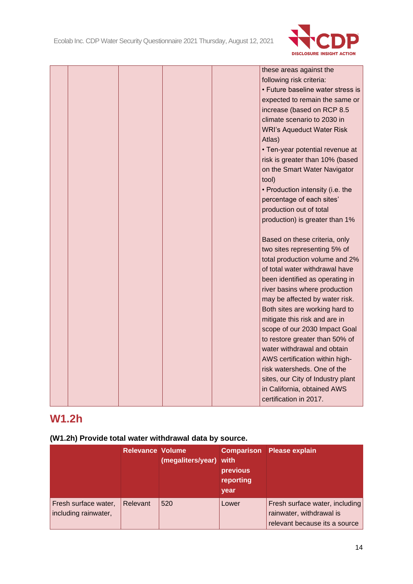

|  |  | these areas against the           |  |
|--|--|-----------------------------------|--|
|  |  | following risk criteria:          |  |
|  |  | • Future baseline water stress is |  |
|  |  | expected to remain the same or    |  |
|  |  | increase (based on RCP 8.5        |  |
|  |  | climate scenario to 2030 in       |  |
|  |  | <b>WRI's Aqueduct Water Risk</b>  |  |
|  |  | Atlas)                            |  |
|  |  | • Ten-year potential revenue at   |  |
|  |  | risk is greater than 10% (based   |  |
|  |  | on the Smart Water Navigator      |  |
|  |  | tool)                             |  |
|  |  | • Production intensity (i.e. the  |  |
|  |  | percentage of each sites'         |  |
|  |  | production out of total           |  |
|  |  | production) is greater than 1%    |  |
|  |  |                                   |  |
|  |  | Based on these criteria, only     |  |
|  |  | two sites representing 5% of      |  |
|  |  | total production volume and 2%    |  |
|  |  | of total water withdrawal have    |  |
|  |  | been identified as operating in   |  |
|  |  | river basins where production     |  |
|  |  | may be affected by water risk.    |  |
|  |  | Both sites are working hard to    |  |
|  |  | mitigate this risk and are in     |  |
|  |  | scope of our 2030 Impact Goal     |  |
|  |  | to restore greater than 50% of    |  |
|  |  | water withdrawal and obtain       |  |
|  |  | AWS certification within high-    |  |
|  |  | risk watersheds. One of the       |  |
|  |  | sites, our City of Industry plant |  |
|  |  | in California, obtained AWS       |  |
|  |  | certification in 2017.            |  |

# **W1.2h**

# **(W1.2h) Provide total water withdrawal data by source.**

|                                              | <b>Relevance Volume</b> | (megaliters/year) with | previous<br>reporting<br>year | <b>Comparison</b> Please explain                                                            |
|----------------------------------------------|-------------------------|------------------------|-------------------------------|---------------------------------------------------------------------------------------------|
| Fresh surface water,<br>including rainwater, | Relevant                | 520                    | Lower                         | Fresh surface water, including<br>rainwater, withdrawal is<br>relevant because its a source |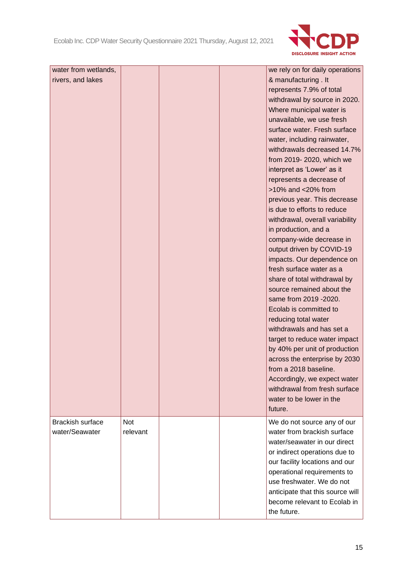

| water from wetlands,    |            |  | we rely on for daily operations  |
|-------------------------|------------|--|----------------------------------|
| rivers, and lakes       |            |  | & manufacturing . It             |
|                         |            |  | represents 7.9% of total         |
|                         |            |  | withdrawal by source in 2020.    |
|                         |            |  | Where municipal water is         |
|                         |            |  | unavailable, we use fresh        |
|                         |            |  | surface water. Fresh surface     |
|                         |            |  | water, including rainwater,      |
|                         |            |  | withdrawals decreased 14.7%      |
|                         |            |  | from 2019-2020, which we         |
|                         |            |  | interpret as 'Lower' as it       |
|                         |            |  | represents a decrease of         |
|                         |            |  | >10% and <20% from               |
|                         |            |  | previous year. This decrease     |
|                         |            |  | is due to efforts to reduce      |
|                         |            |  | withdrawal, overall variability  |
|                         |            |  | in production, and a             |
|                         |            |  | company-wide decrease in         |
|                         |            |  | output driven by COVID-19        |
|                         |            |  | impacts. Our dependence on       |
|                         |            |  | fresh surface water as a         |
|                         |            |  | share of total withdrawal by     |
|                         |            |  | source remained about the        |
|                         |            |  | same from 2019 - 2020.           |
|                         |            |  | Ecolab is committed to           |
|                         |            |  | reducing total water             |
|                         |            |  | withdrawals and has set a        |
|                         |            |  | target to reduce water impact    |
|                         |            |  | by 40% per unit of production    |
|                         |            |  | across the enterprise by 2030    |
|                         |            |  | from a 2018 baseline.            |
|                         |            |  | Accordingly, we expect water     |
|                         |            |  | withdrawal from fresh surface    |
|                         |            |  | water to be lower in the         |
|                         |            |  | future.                          |
| <b>Brackish surface</b> | <b>Not</b> |  | We do not source any of our      |
| water/Seawater          | relevant   |  | water from brackish surface      |
|                         |            |  | water/seawater in our direct     |
|                         |            |  | or indirect operations due to    |
|                         |            |  | our facility locations and our   |
|                         |            |  | operational requirements to      |
|                         |            |  | use freshwater. We do not        |
|                         |            |  | anticipate that this source will |
|                         |            |  | become relevant to Ecolab in     |
|                         |            |  | the future.                      |
|                         |            |  |                                  |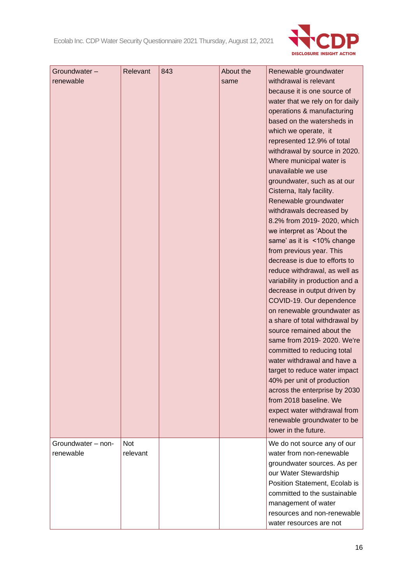

| Groundwater-<br>renewable<br>Groundwater - non- | Relevant<br><b>Not</b> | 843 | About the<br>same | Renewable groundwater<br>withdrawal is relevant<br>because it is one source of<br>water that we rely on for daily<br>operations & manufacturing<br>based on the watersheds in<br>which we operate, it<br>represented 12.9% of total<br>withdrawal by source in 2020.<br>Where municipal water is<br>unavailable we use<br>groundwater, such as at our<br>Cisterna, Italy facility.<br>Renewable groundwater<br>withdrawals decreased by<br>8.2% from 2019-2020, which<br>we interpret as 'About the<br>same' as it is <10% change<br>from previous year. This<br>decrease is due to efforts to<br>reduce withdrawal, as well as<br>variability in production and a<br>decrease in output driven by<br>COVID-19. Our dependence<br>on renewable groundwater as<br>a share of total withdrawal by<br>source remained about the<br>same from 2019-2020. We're<br>committed to reducing total<br>water withdrawal and have a<br>target to reduce water impact<br>40% per unit of production<br>across the enterprise by 2030<br>from 2018 baseline. We<br>expect water withdrawal from<br>renewable groundwater to be<br>lower in the future.<br>We do not source any of our |
|-------------------------------------------------|------------------------|-----|-------------------|--------------------------------------------------------------------------------------------------------------------------------------------------------------------------------------------------------------------------------------------------------------------------------------------------------------------------------------------------------------------------------------------------------------------------------------------------------------------------------------------------------------------------------------------------------------------------------------------------------------------------------------------------------------------------------------------------------------------------------------------------------------------------------------------------------------------------------------------------------------------------------------------------------------------------------------------------------------------------------------------------------------------------------------------------------------------------------------------------------------------------------------------------------------------------|
| renewable                                       | relevant               |     |                   | water from non-renewable<br>groundwater sources. As per<br>our Water Stewardship<br>Position Statement, Ecolab is<br>committed to the sustainable<br>management of water<br>resources and non-renewable<br>water resources are not                                                                                                                                                                                                                                                                                                                                                                                                                                                                                                                                                                                                                                                                                                                                                                                                                                                                                                                                       |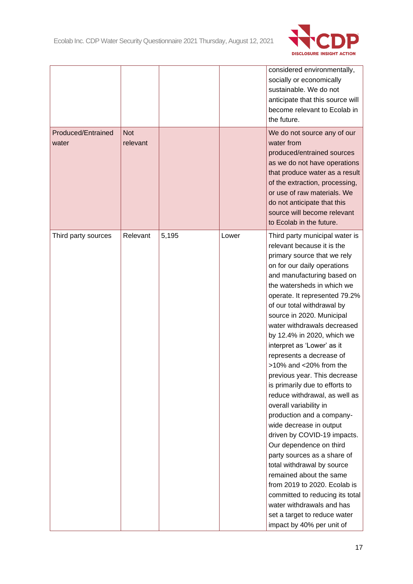

|                                    |                        |       |       | considered environmentally,<br>socially or economically<br>sustainable. We do not<br>anticipate that this source will<br>become relevant to Ecolab in<br>the future.                                                                                                                                                                                                                                                                                                                                                                                                                                                                                                                                                                                                                                                                                                                                                                    |
|------------------------------------|------------------------|-------|-------|-----------------------------------------------------------------------------------------------------------------------------------------------------------------------------------------------------------------------------------------------------------------------------------------------------------------------------------------------------------------------------------------------------------------------------------------------------------------------------------------------------------------------------------------------------------------------------------------------------------------------------------------------------------------------------------------------------------------------------------------------------------------------------------------------------------------------------------------------------------------------------------------------------------------------------------------|
| <b>Produced/Entrained</b><br>water | <b>Not</b><br>relevant |       |       | We do not source any of our<br>water from<br>produced/entrained sources<br>as we do not have operations<br>that produce water as a result<br>of the extraction, processing,<br>or use of raw materials. We<br>do not anticipate that this<br>source will become relevant<br>to Ecolab in the future.                                                                                                                                                                                                                                                                                                                                                                                                                                                                                                                                                                                                                                    |
| Third party sources                | Relevant               | 5,195 | Lower | Third party municipal water is<br>relevant because it is the<br>primary source that we rely<br>on for our daily operations<br>and manufacturing based on<br>the watersheds in which we<br>operate. It represented 79.2%<br>of our total withdrawal by<br>source in 2020. Municipal<br>water withdrawals decreased<br>by 12.4% in 2020, which we<br>interpret as 'Lower' as it<br>represents a decrease of<br>>10% and <20% from the<br>previous year. This decrease<br>is primarily due to efforts to<br>reduce withdrawal, as well as<br>overall variability in<br>production and a company-<br>wide decrease in output<br>driven by COVID-19 impacts.<br>Our dependence on third<br>party sources as a share of<br>total withdrawal by source<br>remained about the same<br>from 2019 to 2020. Ecolab is<br>committed to reducing its total<br>water withdrawals and has<br>set a target to reduce water<br>impact by 40% per unit of |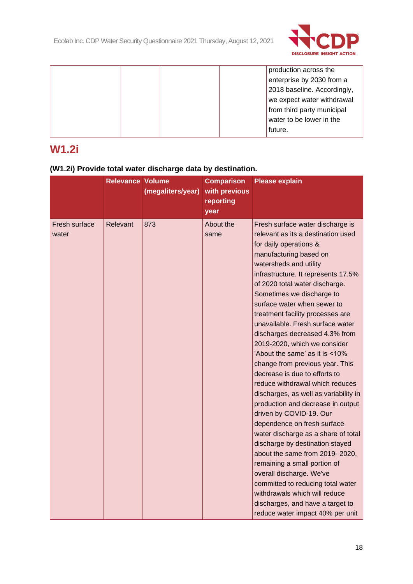

|  |  | production across the       |
|--|--|-----------------------------|
|  |  | enterprise by 2030 from a   |
|  |  | 2018 baseline. Accordingly, |
|  |  | we expect water withdrawal  |
|  |  | from third party municipal  |
|  |  | water to be lower in the    |
|  |  | future.                     |
|  |  |                             |

# **W1.2i**

# **(W1.2i) Provide total water discharge data by destination.**

|                        | <b>Relevance Volume</b> | (megaliters/year) | <b>Comparison</b><br>with previous<br>reporting<br>year | <b>Please explain</b>                                                                                                                                                                                                                                                                                                                                                                                                                                                                                                                                                                                                                                                                                                                                                                                                                                                                                                                                                                                                                      |
|------------------------|-------------------------|-------------------|---------------------------------------------------------|--------------------------------------------------------------------------------------------------------------------------------------------------------------------------------------------------------------------------------------------------------------------------------------------------------------------------------------------------------------------------------------------------------------------------------------------------------------------------------------------------------------------------------------------------------------------------------------------------------------------------------------------------------------------------------------------------------------------------------------------------------------------------------------------------------------------------------------------------------------------------------------------------------------------------------------------------------------------------------------------------------------------------------------------|
| Fresh surface<br>water | Relevant                | 873               | About the<br>same                                       | Fresh surface water discharge is<br>relevant as its a destination used<br>for daily operations &<br>manufacturing based on<br>watersheds and utility<br>infrastructure. It represents 17.5%<br>of 2020 total water discharge.<br>Sometimes we discharge to<br>surface water when sewer to<br>treatment facility processes are<br>unavailable. Fresh surface water<br>discharges decreased 4.3% from<br>2019-2020, which we consider<br>'About the same' as it is <10%<br>change from previous year. This<br>decrease is due to efforts to<br>reduce withdrawal which reduces<br>discharges, as well as variability in<br>production and decrease in output<br>driven by COVID-19. Our<br>dependence on fresh surface<br>water discharge as a share of total<br>discharge by destination stayed<br>about the same from 2019-2020,<br>remaining a small portion of<br>overall discharge. We've<br>committed to reducing total water<br>withdrawals which will reduce<br>discharges, and have a target to<br>reduce water impact 40% per unit |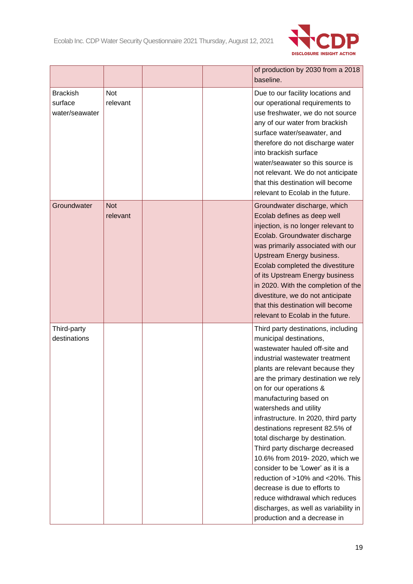

|                             |            |  | of production by 2030 from a 2018                                      |
|-----------------------------|------------|--|------------------------------------------------------------------------|
|                             |            |  | baseline.                                                              |
| <b>Brackish</b>             | <b>Not</b> |  | Due to our facility locations and                                      |
| surface                     | relevant   |  | our operational requirements to                                        |
| water/seawater              |            |  | use freshwater, we do not source                                       |
|                             |            |  | any of our water from brackish                                         |
|                             |            |  | surface water/seawater, and                                            |
|                             |            |  | therefore do not discharge water                                       |
|                             |            |  | into brackish surface                                                  |
|                             |            |  | water/seawater so this source is                                       |
|                             |            |  | not relevant. We do not anticipate                                     |
|                             |            |  | that this destination will become                                      |
|                             |            |  | relevant to Ecolab in the future.                                      |
| Groundwater                 | <b>Not</b> |  | Groundwater discharge, which                                           |
|                             | relevant   |  | Ecolab defines as deep well                                            |
|                             |            |  | injection, is no longer relevant to                                    |
|                             |            |  | Ecolab. Groundwater discharge                                          |
|                             |            |  | was primarily associated with our                                      |
|                             |            |  | Upstream Energy business.                                              |
|                             |            |  | Ecolab completed the divestiture                                       |
|                             |            |  | of its Upstream Energy business                                        |
|                             |            |  | in 2020. With the completion of the                                    |
|                             |            |  | divestiture, we do not anticipate<br>that this destination will become |
|                             |            |  | relevant to Ecolab in the future.                                      |
|                             |            |  |                                                                        |
| Third-party<br>destinations |            |  | Third party destinations, including                                    |
|                             |            |  | municipal destinations,<br>wastewater hauled off-site and              |
|                             |            |  | industrial wastewater treatment                                        |
|                             |            |  | plants are relevant because they                                       |
|                             |            |  | are the primary destination we rely                                    |
|                             |            |  | on for our operations &                                                |
|                             |            |  | manufacturing based on                                                 |
|                             |            |  | watersheds and utility                                                 |
|                             |            |  | infrastructure. In 2020, third party                                   |
|                             |            |  | destinations represent 82.5% of                                        |
|                             |            |  | total discharge by destination.                                        |
|                             |            |  | Third party discharge decreased                                        |
|                             |            |  | 10.6% from 2019-2020, which we                                         |
|                             |            |  | consider to be 'Lower' as it is a                                      |
|                             |            |  | reduction of >10% and <20%. This                                       |
|                             |            |  | decrease is due to efforts to                                          |
|                             |            |  | reduce withdrawal which reduces                                        |
|                             |            |  | discharges, as well as variability in                                  |
|                             |            |  | production and a decrease in                                           |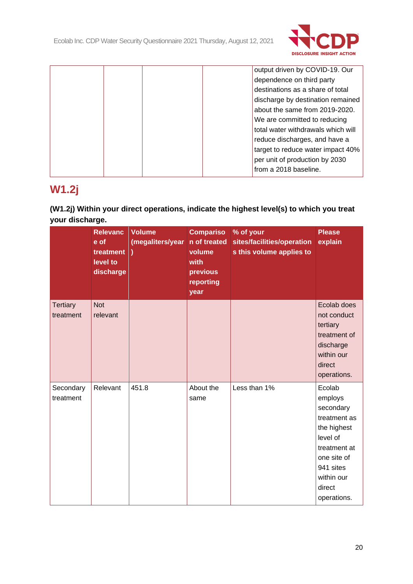

|  |  | output driven by COVID-19. Our     |
|--|--|------------------------------------|
|  |  | dependence on third party          |
|  |  | destinations as a share of total   |
|  |  | discharge by destination remained  |
|  |  | about the same from 2019-2020.     |
|  |  | We are committed to reducing       |
|  |  | total water withdrawals which will |
|  |  | reduce discharges, and have a      |
|  |  | target to reduce water impact 40%  |
|  |  | per unit of production by 2030     |
|  |  | from a 2018 baseline.              |
|  |  |                                    |

# **W1.2j**

# **(W1.2j) Within your direct operations, indicate the highest level(s) to which you treat your discharge.**

|                              | <b>Relevanc</b><br>e of<br>treatment )<br>level to<br>discharge | <b>Volume</b><br>(megaliters/year | <b>Compariso</b><br>n of treated<br>volume<br>with<br>previous<br>reporting<br>year | % of your<br>sites/facilities/operation<br>s this volume applies to | <b>Please</b><br>explain                                                                                                                                     |
|------------------------------|-----------------------------------------------------------------|-----------------------------------|-------------------------------------------------------------------------------------|---------------------------------------------------------------------|--------------------------------------------------------------------------------------------------------------------------------------------------------------|
| <b>Tertiary</b><br>treatment | <b>Not</b><br>relevant                                          |                                   |                                                                                     |                                                                     | Ecolab does<br>not conduct<br>tertiary<br>treatment of<br>discharge<br>within our<br>direct<br>operations.                                                   |
| Secondary<br>treatment       | Relevant                                                        | 451.8                             | About the<br>same                                                                   | Less than 1%                                                        | Ecolab<br>employs<br>secondary<br>treatment as<br>the highest<br>level of<br>treatment at<br>one site of<br>941 sites<br>within our<br>direct<br>operations. |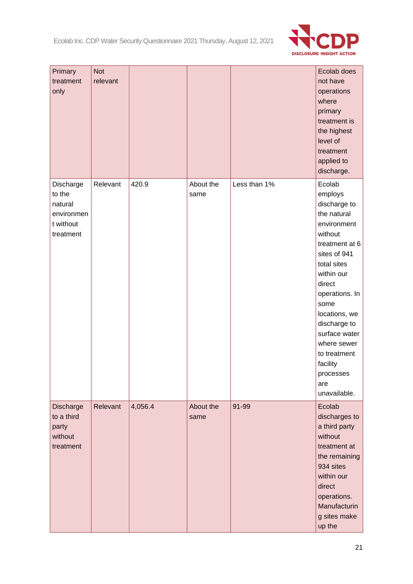

| Primary<br>treatment<br>only                                           | <b>Not</b><br>relevant |         |                   |              | Ecolab does<br>not have<br>operations<br>where<br>primary<br>treatment is<br>the highest<br>level of<br>treatment<br>applied to<br>discharge.                                                                                                                                                                  |
|------------------------------------------------------------------------|------------------------|---------|-------------------|--------------|----------------------------------------------------------------------------------------------------------------------------------------------------------------------------------------------------------------------------------------------------------------------------------------------------------------|
| Discharge<br>to the<br>natural<br>environmen<br>t without<br>treatment | Relevant               | 420.9   | About the<br>same | Less than 1% | Ecolab<br>employs<br>discharge to<br>the natural<br>environment<br>without<br>treatment at 6<br>sites of 941<br>total sites<br>within our<br>direct<br>operations. In<br>some<br>locations, we<br>discharge to<br>surface water<br>where sewer<br>to treatment<br>facility<br>processes<br>are<br>unavailable. |
| Discharge<br>to a third<br>party<br>without<br>treatment               | Relevant               | 4,056.4 | About the<br>same | 91-99        | Ecolab<br>discharges to<br>a third party<br>without<br>treatment at<br>the remaining<br>934 sites<br>within our<br>direct<br>operations.<br>Manufacturin<br>g sites make<br>up the                                                                                                                             |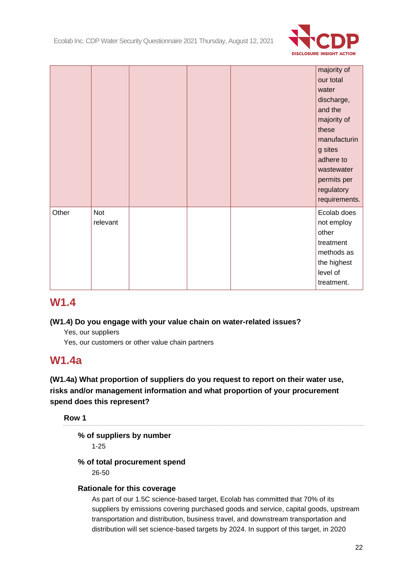

|       |                 |  | majority of<br>our total<br>water<br>discharge,<br>and the<br>majority of<br>these<br>manufacturin<br>g sites<br>adhere to<br>wastewater<br>permits per<br>regulatory |
|-------|-----------------|--|-----------------------------------------------------------------------------------------------------------------------------------------------------------------------|
|       |                 |  | requirements.                                                                                                                                                         |
| Other | Not<br>relevant |  | Ecolab does<br>not employ<br>other<br>treatment<br>methods as<br>the highest<br>level of<br>treatment.                                                                |

# **W1.4**

# **(W1.4) Do you engage with your value chain on water-related issues?**

Yes, our suppliers

Yes, our customers or other value chain partners

# **W1.4a**

# **(W1.4a) What proportion of suppliers do you request to report on their water use, risks and/or management information and what proportion of your procurement spend does this represent?**

**Row 1**

# **% of suppliers by number**

1-25

# **% of total procurement spend**

26-50

## **Rationale for this coverage**

As part of our 1.5C science-based target, Ecolab has committed that 70% of its suppliers by emissions covering purchased goods and service, capital goods, upstream transportation and distribution, business travel, and downstream transportation and distribution will set science-based targets by 2024. In support of this target, in 2020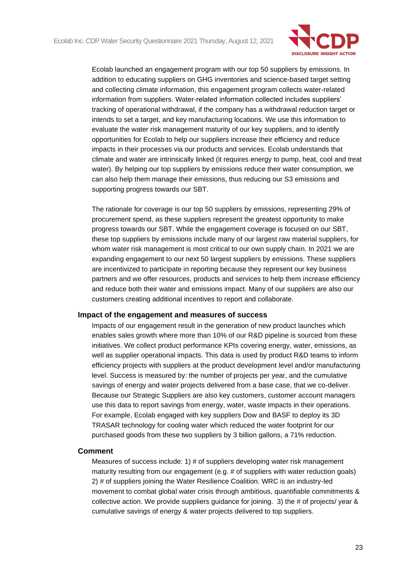

Ecolab launched an engagement program with our top 50 suppliers by emissions. In addition to educating suppliers on GHG inventories and science-based target setting and collecting climate information, this engagement program collects water-related information from suppliers. Water-related information collected includes suppliers' tracking of operational withdrawal, if the company has a withdrawal reduction target or intends to set a target, and key manufacturing locations. We use this information to evaluate the water risk management maturity of our key suppliers, and to identify opportunities for Ecolab to help our suppliers increase their efficiency and reduce impacts in their processes via our products and services. Ecolab understands that climate and water are intrinsically linked (it requires energy to pump, heat, cool and treat water). By helping our top suppliers by emissions reduce their water consumption, we can also help them manage their emissions, thus reducing our S3 emissions and supporting progress towards our SBT.

The rationale for coverage is our top 50 suppliers by emissions, representing 29% of procurement spend, as these suppliers represent the greatest opportunity to make progress towards our SBT. While the engagement coverage is focused on our SBT, these top suppliers by emissions include many of our largest raw material suppliers, for whom water risk management is most critical to our own supply chain. In 2021 we are expanding engagement to our next 50 largest suppliers by emissions. These suppliers are incentivized to participate in reporting because they represent our key business partners and we offer resources, products and services to help them increase efficiency and reduce both their water and emissions impact. Many of our suppliers are also our customers creating additional incentives to report and collaborate.

### **Impact of the engagement and measures of success**

Impacts of our engagement result in the generation of new product launches which enables sales growth where more than 10% of our R&D pipeline is sourced from these initiatives. We collect product performance KPIs covering energy, water, emissions, as well as supplier operational impacts. This data is used by product R&D teams to inform efficiency projects with suppliers at the product development level and/or manufacturing level. Success is measured by: the number of projects per year, and the cumulative savings of energy and water projects delivered from a base case, that we co-deliver. Because our Strategic Suppliers are also key customers, customer account managers use this data to report savings from energy, water, waste impacts in their operations. For example, Ecolab engaged with key suppliers Dow and BASF to deploy its 3D TRASAR technology for cooling water which reduced the water footprint for our purchased goods from these two suppliers by 3 billion gallons, a 71% reduction.

#### **Comment**

Measures of success include: 1) # of suppliers developing water risk management maturity resulting from our engagement (e.g. # of suppliers with water reduction goals) 2) # of suppliers joining the Water Resilience Coalition. WRC is an industry-led movement to combat global water crisis through ambitious, quantifiable commitments & collective action. We provide suppliers guidance for joining. 3) the # of projects/ year & cumulative savings of energy & water projects delivered to top suppliers.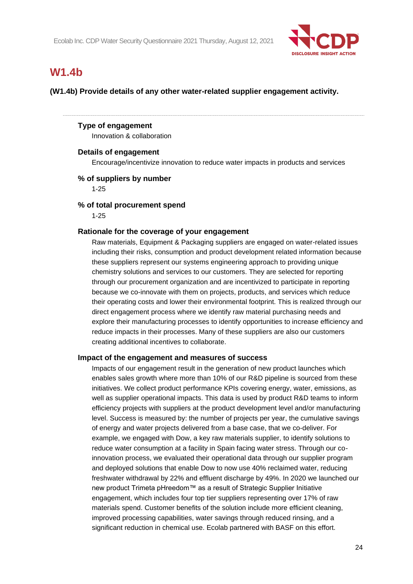

# **W1.4b**

**(W1.4b) Provide details of any other water-related supplier engagement activity.**

## **Type of engagement**

Innovation & collaboration

### **Details of engagement**

Encourage/incentivize innovation to reduce water impacts in products and services

## **% of suppliers by number**

1-25

### **% of total procurement spend**

1-25

## **Rationale for the coverage of your engagement**

Raw materials, Equipment & Packaging suppliers are engaged on water-related issues including their risks, consumption and product development related information because these suppliers represent our systems engineering approach to providing unique chemistry solutions and services to our customers. They are selected for reporting through our procurement organization and are incentivized to participate in reporting because we co-innovate with them on projects, products, and services which reduce their operating costs and lower their environmental footprint. This is realized through our direct engagement process where we identify raw material purchasing needs and explore their manufacturing processes to identify opportunities to increase efficiency and reduce impacts in their processes. Many of these suppliers are also our customers creating additional incentives to collaborate.

### **Impact of the engagement and measures of success**

Impacts of our engagement result in the generation of new product launches which enables sales growth where more than 10% of our R&D pipeline is sourced from these initiatives. We collect product performance KPIs covering energy, water, emissions, as well as supplier operational impacts. This data is used by product R&D teams to inform efficiency projects with suppliers at the product development level and/or manufacturing level. Success is measured by: the number of projects per year, the cumulative savings of energy and water projects delivered from a base case, that we co-deliver. For example, we engaged with Dow, a key raw materials supplier, to identify solutions to reduce water consumption at a facility in Spain facing water stress. Through our coinnovation process, we evaluated their operational data through our supplier program and deployed solutions that enable Dow to now use 40% reclaimed water, reducing freshwater withdrawal by 22% and effluent discharge by 49%. In 2020 we launched our new product Trimeta pHreedom™ as a result of Strategic Supplier Initiative engagement, which includes four top tier suppliers representing over 17% of raw materials spend. Customer benefits of the solution include more efficient cleaning, improved processing capabilities, water savings through reduced rinsing, and a significant reduction in chemical use. Ecolab partnered with BASF on this effort.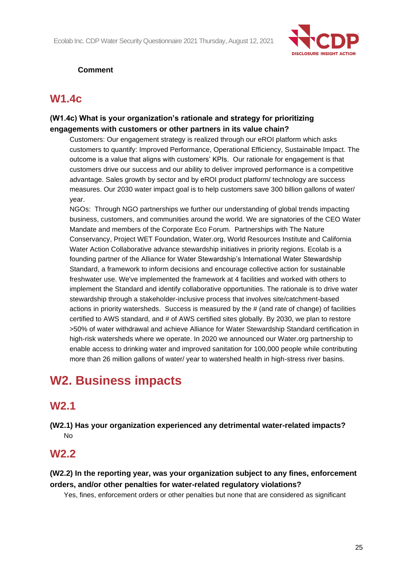

# **Comment**

# **W1.4c**

# **(W1.4c) What is your organization's rationale and strategy for prioritizing engagements with customers or other partners in its value chain?**

Customers: Our engagement strategy is realized through our eROI platform which asks customers to quantify: Improved Performance, Operational Efficiency, Sustainable Impact. The outcome is a value that aligns with customers' KPIs. Our rationale for engagement is that customers drive our success and our ability to deliver improved performance is a competitive advantage. Sales growth by sector and by eROI product platform/ technology are success measures. Our 2030 water impact goal is to help customers save 300 billion gallons of water/ year.

NGOs: Through NGO partnerships we further our understanding of global trends impacting business, customers, and communities around the world. We are signatories of the CEO Water Mandate and members of the Corporate Eco Forum. Partnerships with The Nature Conservancy, Project WET Foundation, Water.org, World Resources Institute and California Water Action Collaborative advance stewardship initiatives in priority regions. Ecolab is a founding partner of the Alliance for Water Stewardship's International Water Stewardship Standard, a framework to inform decisions and encourage collective action for sustainable freshwater use. We've implemented the framework at 4 facilities and worked with others to implement the Standard and identify collaborative opportunities. The rationale is to drive water stewardship through a stakeholder-inclusive process that involves site/catchment-based actions in priority watersheds. Success is measured by the # (and rate of change) of facilities certified to AWS standard, and # of AWS certified sites globally. By 2030, we plan to restore >50% of water withdrawal and achieve Alliance for Water Stewardship Standard certification in high-risk watersheds where we operate. In 2020 we announced our Water.org partnership to enable access to drinking water and improved sanitation for 100,000 people while contributing more than 26 million gallons of water/ year to watershed health in high-stress river basins.

# **W2. Business impacts**

# **W2.1**

**(W2.1) Has your organization experienced any detrimental water-related impacts?** No

# **W2.2**

**(W2.2) In the reporting year, was your organization subject to any fines, enforcement orders, and/or other penalties for water-related regulatory violations?**

Yes, fines, enforcement orders or other penalties but none that are considered as significant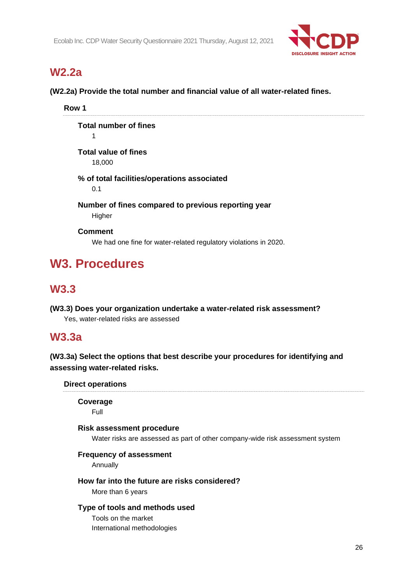

# **W2.2a**

**(W2.2a) Provide the total number and financial value of all water-related fines.**

**Row 1**

**Total number of fines** 1

**Total value of fines** 18,000

## **% of total facilities/operations associated** 0.1

**Number of fines compared to previous reporting year Higher** 

**Comment**

We had one fine for water-related regulatory violations in 2020.

# **W3. Procedures**

# **W3.3**

**(W3.3) Does your organization undertake a water-related risk assessment?** Yes, water-related risks are assessed

# **W3.3a**

**(W3.3a) Select the options that best describe your procedures for identifying and assessing water-related risks.**

**Direct operations**

**Coverage** Full

## **Risk assessment procedure**

Water risks are assessed as part of other company-wide risk assessment system

## **Frequency of assessment**

Annually

## **How far into the future are risks considered?**

More than 6 years

## **Type of tools and methods used**

Tools on the market International methodologies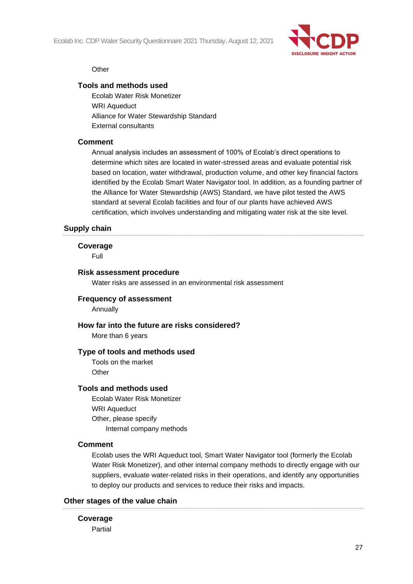Ecolab Inc. CDP Water Security Questionnaire 2021 Thursday, August 12, 2021



### **Other**

## **Tools and methods used**

Ecolab Water Risk Monetizer WRI Aqueduct Alliance for Water Stewardship Standard External consultants

## **Comment**

Annual analysis includes an assessment of 100% of Ecolab's direct operations to determine which sites are located in water-stressed areas and evaluate potential risk based on location, water withdrawal, production volume, and other key financial factors identified by the Ecolab Smart Water Navigator tool. In addition, as a founding partner of the Alliance for Water Stewardship (AWS) Standard, we have pilot tested the AWS standard at several Ecolab facilities and four of our plants have achieved AWS certification, which involves understanding and mitigating water risk at the site level.

## **Supply chain**

### **Coverage**

Full

### **Risk assessment procedure**

Water risks are assessed in an environmental risk assessment

## **Frequency of assessment**

**Annually** 

### **How far into the future are risks considered?**

More than 6 years

### **Type of tools and methods used**

Tools on the market **Other** 

#### **Tools and methods used**

Ecolab Water Risk Monetizer WRI Aqueduct Other, please specify Internal company methods

## **Comment**

Ecolab uses the WRI Aqueduct tool, Smart Water Navigator tool (formerly the Ecolab Water Risk Monetizer), and other internal company methods to directly engage with our suppliers, evaluate water-related risks in their operations, and identify any opportunities to deploy our products and services to reduce their risks and impacts.

## **Other stages of the value chain**

### **Coverage**

Partial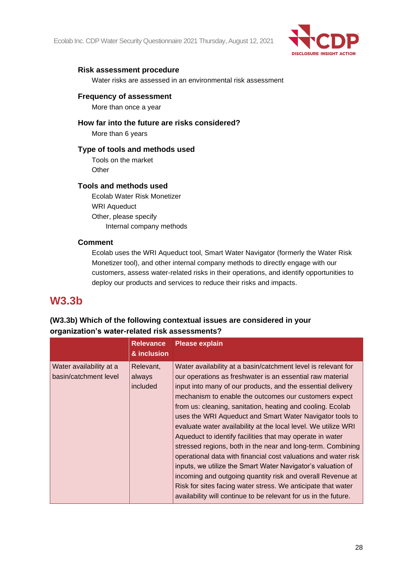Ecolab Inc. CDP Water Security Questionnaire 2021 Thursday, August 12, 2021



## **Risk assessment procedure**

Water risks are assessed in an environmental risk assessment

## **Frequency of assessment**

More than once a year

## **How far into the future are risks considered?**

More than 6 years

## **Type of tools and methods used**

Tools on the market **Other** 

## **Tools and methods used**

Ecolab Water Risk Monetizer WRI Aqueduct Other, please specify Internal company methods

## **Comment**

Ecolab uses the WRI Aqueduct tool, Smart Water Navigator (formerly the Water Risk Monetizer tool), and other internal company methods to directly engage with our customers, assess water-related risks in their operations, and identify opportunities to deploy our products and services to reduce their risks and impacts.

# **W3.3b**

# **(W3.3b) Which of the following contextual issues are considered in your organization's water-related risk assessments?**

|                                                  | <b>Relevance</b><br>& inclusion | <b>Please explain</b>                                                                                                                                                                                                                                                                                                                                                                                                                                                                                                                                                                                                                                                                                                                                                                                                                                                                                        |
|--------------------------------------------------|---------------------------------|--------------------------------------------------------------------------------------------------------------------------------------------------------------------------------------------------------------------------------------------------------------------------------------------------------------------------------------------------------------------------------------------------------------------------------------------------------------------------------------------------------------------------------------------------------------------------------------------------------------------------------------------------------------------------------------------------------------------------------------------------------------------------------------------------------------------------------------------------------------------------------------------------------------|
| Water availability at a<br>basin/catchment level | Relevant,<br>always<br>included | Water availability at a basin/catchment level is relevant for<br>our operations as freshwater is an essential raw material<br>input into many of our products, and the essential delivery<br>mechanism to enable the outcomes our customers expect<br>from us: cleaning, sanitation, heating and cooling. Ecolab<br>uses the WRI Aqueduct and Smart Water Navigator tools to<br>evaluate water availability at the local level. We utilize WRI<br>Aqueduct to identify facilities that may operate in water<br>stressed regions, both in the near and long-term. Combining<br>operational data with financial cost valuations and water risk<br>inputs, we utilize the Smart Water Navigator's valuation of<br>incoming and outgoing quantity risk and overall Revenue at<br>Risk for sites facing water stress. We anticipate that water<br>availability will continue to be relevant for us in the future. |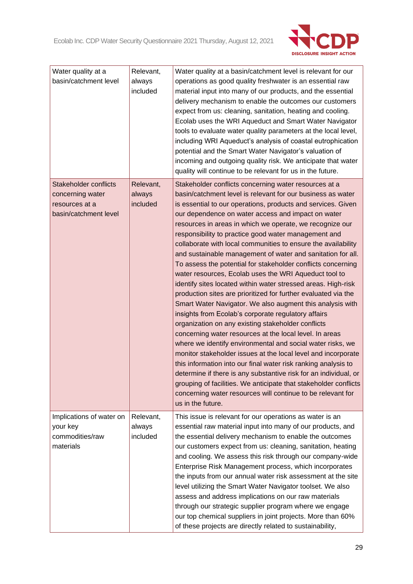

| Water quality at a<br>basin/catchment level                                                 | Relevant,<br>always<br>included | Water quality at a basin/catchment level is relevant for our<br>operations as good quality freshwater is an essential raw<br>material input into many of our products, and the essential<br>delivery mechanism to enable the outcomes our customers<br>expect from us: cleaning, sanitation, heating and cooling.<br>Ecolab uses the WRI Aqueduct and Smart Water Navigator<br>tools to evaluate water quality parameters at the local level,<br>including WRI Aqueduct's analysis of coastal eutrophication<br>potential and the Smart Water Navigator's valuation of                                                                                                                                                                                                                                                                                                                                                                                                                                                                                                                                                                                                                                                                                                                                                                                                                                                       |
|---------------------------------------------------------------------------------------------|---------------------------------|------------------------------------------------------------------------------------------------------------------------------------------------------------------------------------------------------------------------------------------------------------------------------------------------------------------------------------------------------------------------------------------------------------------------------------------------------------------------------------------------------------------------------------------------------------------------------------------------------------------------------------------------------------------------------------------------------------------------------------------------------------------------------------------------------------------------------------------------------------------------------------------------------------------------------------------------------------------------------------------------------------------------------------------------------------------------------------------------------------------------------------------------------------------------------------------------------------------------------------------------------------------------------------------------------------------------------------------------------------------------------------------------------------------------------|
|                                                                                             |                                 | incoming and outgoing quality risk. We anticipate that water<br>quality will continue to be relevant for us in the future.                                                                                                                                                                                                                                                                                                                                                                                                                                                                                                                                                                                                                                                                                                                                                                                                                                                                                                                                                                                                                                                                                                                                                                                                                                                                                                   |
| <b>Stakeholder conflicts</b><br>concerning water<br>resources at a<br>basin/catchment level | Relevant,<br>always<br>included | Stakeholder conflicts concerning water resources at a<br>basin/catchment level is relevant for our business as water<br>is essential to our operations, products and services. Given<br>our dependence on water access and impact on water<br>resources in areas in which we operate, we recognize our<br>responsibility to practice good water management and<br>collaborate with local communities to ensure the availability<br>and sustainable management of water and sanitation for all.<br>To assess the potential for stakeholder conflicts concerning<br>water resources, Ecolab uses the WRI Aqueduct tool to<br>identify sites located within water stressed areas. High-risk<br>production sites are prioritized for further evaluated via the<br>Smart Water Navigator. We also augment this analysis with<br>insights from Ecolab's corporate regulatory affairs<br>organization on any existing stakeholder conflicts<br>concerning water resources at the local level. In areas<br>where we identify environmental and social water risks, we<br>monitor stakeholder issues at the local level and incorporate<br>this information into our final water risk ranking analysis to<br>determine if there is any substantive risk for an individual, or<br>grouping of facilities. We anticipate that stakeholder conflicts<br>concerning water resources will continue to be relevant for<br>us in the future. |
| Implications of water on<br>your key<br>commodities/raw<br>materials                        | Relevant,<br>always<br>included | This issue is relevant for our operations as water is an<br>essential raw material input into many of our products, and<br>the essential delivery mechanism to enable the outcomes<br>our customers expect from us: cleaning, sanitation, heating<br>and cooling. We assess this risk through our company-wide<br>Enterprise Risk Management process, which incorporates<br>the inputs from our annual water risk assessment at the site<br>level utilizing the Smart Water Navigator toolset. We also<br>assess and address implications on our raw materials<br>through our strategic supplier program where we engage<br>our top chemical suppliers in joint projects. More than 60%<br>of these projects are directly related to sustainability,                                                                                                                                                                                                                                                                                                                                                                                                                                                                                                                                                                                                                                                                         |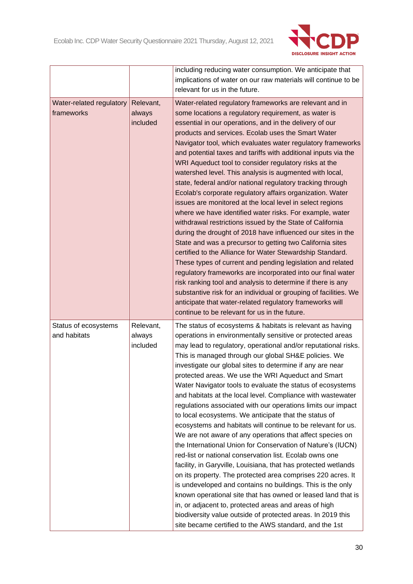

|                          |           | including reducing water consumption. We anticipate that         |
|--------------------------|-----------|------------------------------------------------------------------|
|                          |           | implications of water on our raw materials will continue to be   |
|                          |           | relevant for us in the future.                                   |
| Water-related regulatory | Relevant, | Water-related regulatory frameworks are relevant and in          |
| frameworks               | always    | some locations a regulatory requirement, as water is             |
|                          | included  | essential in our operations, and in the delivery of our          |
|                          |           | products and services. Ecolab uses the Smart Water               |
|                          |           | Navigator tool, which evaluates water regulatory frameworks      |
|                          |           | and potential taxes and tariffs with additional inputs via the   |
|                          |           | WRI Aqueduct tool to consider regulatory risks at the            |
|                          |           | watershed level. This analysis is augmented with local,          |
|                          |           | state, federal and/or national regulatory tracking through       |
|                          |           | Ecolab's corporate regulatory affairs organization. Water        |
|                          |           | issues are monitored at the local level in select regions        |
|                          |           | where we have identified water risks. For example, water         |
|                          |           | withdrawal restrictions issued by the State of California        |
|                          |           | during the drought of 2018 have influenced our sites in the      |
|                          |           | State and was a precursor to getting two California sites        |
|                          |           | certified to the Alliance for Water Stewardship Standard.        |
|                          |           | These types of current and pending legislation and related       |
|                          |           | regulatory frameworks are incorporated into our final water      |
|                          |           | risk ranking tool and analysis to determine if there is any      |
|                          |           | substantive risk for an individual or grouping of facilities. We |
|                          |           | anticipate that water-related regulatory frameworks will         |
|                          |           | continue to be relevant for us in the future.                    |
| Status of ecosystems     | Relevant, | The status of ecosystems & habitats is relevant as having        |
| and habitats             | always    | operations in environmentally sensitive or protected areas       |
|                          | included  | may lead to regulatory, operational and/or reputational risks.   |
|                          |           | This is managed through our global SH&E policies. We             |
|                          |           | investigate our global sites to determine if any are near        |
|                          |           | protected areas. We use the WRI Aqueduct and Smart               |
|                          |           | Water Navigator tools to evaluate the status of ecosystems       |
|                          |           | and habitats at the local level. Compliance with wastewater      |
|                          |           | regulations associated with our operations limits our impact     |
|                          |           | to local ecosystems. We anticipate that the status of            |
|                          |           | ecosystems and habitats will continue to be relevant for us.     |
|                          |           | We are not aware of any operations that affect species on        |
|                          |           | the International Union for Conservation of Nature's (IUCN)      |
|                          |           | red-list or national conservation list. Ecolab owns one          |
|                          |           | facility, in Garyville, Louisiana, that has protected wetlands   |
|                          |           | on its property. The protected area comprises 220 acres. It      |
|                          |           | is undeveloped and contains no buildings. This is the only       |
|                          |           | known operational site that has owned or leased land that is     |
|                          |           | in, or adjacent to, protected areas and areas of high            |
|                          |           | biodiversity value outside of protected areas. In 2019 this      |
|                          |           | site became certified to the AWS standard, and the 1st           |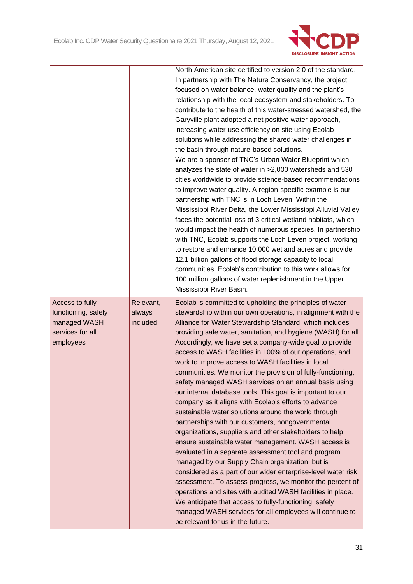

|                     |           | North American site certified to version 2.0 of the standard.                                 |
|---------------------|-----------|-----------------------------------------------------------------------------------------------|
|                     |           | In partnership with The Nature Conservancy, the project                                       |
|                     |           | focused on water balance, water quality and the plant's                                       |
|                     |           | relationship with the local ecosystem and stakeholders. To                                    |
|                     |           | contribute to the health of this water-stressed watershed, the                                |
|                     |           | Garyville plant adopted a net positive water approach,                                        |
|                     |           | increasing water-use efficiency on site using Ecolab                                          |
|                     |           | solutions while addressing the shared water challenges in                                     |
|                     |           | the basin through nature-based solutions.                                                     |
|                     |           | We are a sponsor of TNC's Urban Water Blueprint which                                         |
|                     |           | analyzes the state of water in >2,000 watersheds and 530                                      |
|                     |           | cities worldwide to provide science-based recommendations                                     |
|                     |           | to improve water quality. A region-specific example is our                                    |
|                     |           | partnership with TNC is in Loch Leven. Within the                                             |
|                     |           | Mississippi River Delta, the Lower Mississippi Alluvial Valley                                |
|                     |           | faces the potential loss of 3 critical wetland habitats, which                                |
|                     |           | would impact the health of numerous species. In partnership                                   |
|                     |           | with TNC, Ecolab supports the Loch Leven project, working                                     |
|                     |           | to restore and enhance 10,000 wetland acres and provide                                       |
|                     |           | 12.1 billion gallons of flood storage capacity to local                                       |
|                     |           | communities. Ecolab's contribution to this work allows for                                    |
|                     |           | 100 million gallons of water replenishment in the Upper                                       |
|                     |           | Mississippi River Basin.                                                                      |
|                     |           |                                                                                               |
| Access to fully-    | Relevant, | Ecolab is committed to upholding the principles of water                                      |
| functioning, safely | always    | stewardship within our own operations, in alignment with the                                  |
| managed WASH        | included  | Alliance for Water Stewardship Standard, which includes                                       |
| services for all    |           | providing safe water, sanitation, and hygiene (WASH) for all.                                 |
| employees           |           | Accordingly, we have set a company-wide goal to provide                                       |
|                     |           | access to WASH facilities in 100% of our operations, and                                      |
|                     |           | work to improve access to WASH facilities in local                                            |
|                     |           | communities. We monitor the provision of fully-functioning,                                   |
|                     |           | safety managed WASH services on an annual basis using                                         |
|                     |           | our internal database tools. This goal is important to our                                    |
|                     |           | company as it aligns with Ecolab's efforts to advance                                         |
|                     |           | sustainable water solutions around the world through                                          |
|                     |           | partnerships with our customers, nongovernmental                                              |
|                     |           | organizations, suppliers and other stakeholders to help                                       |
|                     |           | ensure sustainable water management. WASH access is                                           |
|                     |           | evaluated in a separate assessment tool and program                                           |
|                     |           | managed by our Supply Chain organization, but is                                              |
|                     |           | considered as a part of our wider enterprise-level water risk                                 |
|                     |           | assessment. To assess progress, we monitor the percent of                                     |
|                     |           | operations and sites with audited WASH facilities in place.                                   |
|                     |           | We anticipate that access to fully-functioning, safely                                        |
|                     |           | managed WASH services for all employees will continue to<br>be relevant for us in the future. |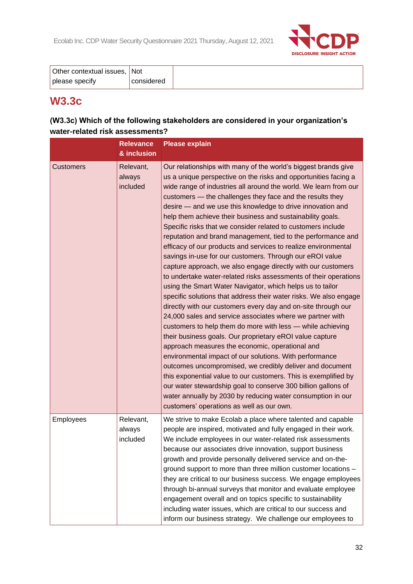

| Other contextual issues, Not |            |  |
|------------------------------|------------|--|
| please specify               | considered |  |

# **W3.3c**

# **(W3.3c) Which of the following stakeholders are considered in your organization's water-related risk assessments?**

|                  | <b>Relevance</b><br>& inclusion | <b>Please explain</b>                                                                                                                                                                                                                                                                                                                                                                                                                                                                                                                                                                                                                                                                                                                                                                                                                                                                                                                                                                                                                                                                                                                                                                                                                                                                                                                                                                                                                                                                                                                                                                                                |
|------------------|---------------------------------|----------------------------------------------------------------------------------------------------------------------------------------------------------------------------------------------------------------------------------------------------------------------------------------------------------------------------------------------------------------------------------------------------------------------------------------------------------------------------------------------------------------------------------------------------------------------------------------------------------------------------------------------------------------------------------------------------------------------------------------------------------------------------------------------------------------------------------------------------------------------------------------------------------------------------------------------------------------------------------------------------------------------------------------------------------------------------------------------------------------------------------------------------------------------------------------------------------------------------------------------------------------------------------------------------------------------------------------------------------------------------------------------------------------------------------------------------------------------------------------------------------------------------------------------------------------------------------------------------------------------|
| <b>Customers</b> | Relevant,<br>always<br>included | Our relationships with many of the world's biggest brands give<br>us a unique perspective on the risks and opportunities facing a<br>wide range of industries all around the world. We learn from our<br>customers - the challenges they face and the results they<br>desire - and we use this knowledge to drive innovation and<br>help them achieve their business and sustainability goals.<br>Specific risks that we consider related to customers include<br>reputation and brand management, tied to the performance and<br>efficacy of our products and services to realize environmental<br>savings in-use for our customers. Through our eROI value<br>capture approach, we also engage directly with our customers<br>to undertake water-related risks assessments of their operations<br>using the Smart Water Navigator, which helps us to tailor<br>specific solutions that address their water risks. We also engage<br>directly with our customers every day and on-site through our<br>24,000 sales and service associates where we partner with<br>customers to help them do more with less - while achieving<br>their business goals. Our proprietary eROI value capture<br>approach measures the economic, operational and<br>environmental impact of our solutions. With performance<br>outcomes uncompromised, we credibly deliver and document<br>this exponential value to our customers. This is exemplified by<br>our water stewardship goal to conserve 300 billion gallons of<br>water annually by 2030 by reducing water consumption in our<br>customers' operations as well as our own. |
| Employees        | Relevant,<br>always<br>included | We strive to make Ecolab a place where talented and capable<br>people are inspired, motivated and fully engaged in their work.<br>We include employees in our water-related risk assessments<br>because our associates drive innovation, support business<br>growth and provide personally delivered service and on-the-<br>ground support to more than three million customer locations -<br>they are critical to our business success. We engage employees<br>through bi-annual surveys that monitor and evaluate employee<br>engagement overall and on topics specific to sustainability<br>including water issues, which are critical to our success and<br>inform our business strategy. We challenge our employees to                                                                                                                                                                                                                                                                                                                                                                                                                                                                                                                                                                                                                                                                                                                                                                                                                                                                                          |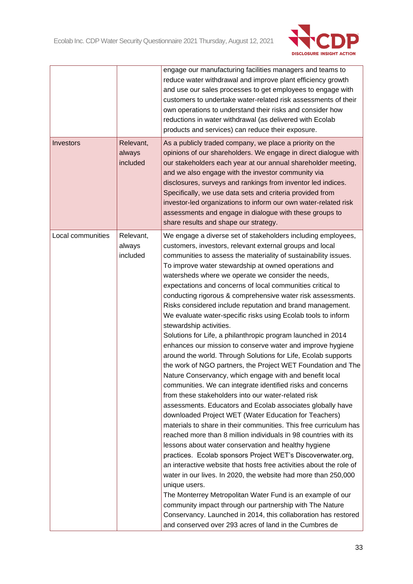

|                   |                                 | engage our manufacturing facilities managers and teams to<br>reduce water withdrawal and improve plant efficiency growth<br>and use our sales processes to get employees to engage with<br>customers to undertake water-related risk assessments of their<br>own operations to understand their risks and consider how<br>reductions in water withdrawal (as delivered with Ecolab<br>products and services) can reduce their exposure.                                                                                                                                                                                                                                                                                                                                                                                                                                                                                                                                                                                                                                                                                                                                                                                                                                                                                                                                                                                                                                                                                                                                                                                                                                                                                                                                                                                                                |
|-------------------|---------------------------------|--------------------------------------------------------------------------------------------------------------------------------------------------------------------------------------------------------------------------------------------------------------------------------------------------------------------------------------------------------------------------------------------------------------------------------------------------------------------------------------------------------------------------------------------------------------------------------------------------------------------------------------------------------------------------------------------------------------------------------------------------------------------------------------------------------------------------------------------------------------------------------------------------------------------------------------------------------------------------------------------------------------------------------------------------------------------------------------------------------------------------------------------------------------------------------------------------------------------------------------------------------------------------------------------------------------------------------------------------------------------------------------------------------------------------------------------------------------------------------------------------------------------------------------------------------------------------------------------------------------------------------------------------------------------------------------------------------------------------------------------------------------------------------------------------------------------------------------------------------|
| <b>Investors</b>  | Relevant,<br>always<br>included | As a publicly traded company, we place a priority on the<br>opinions of our shareholders. We engage in direct dialogue with<br>our stakeholders each year at our annual shareholder meeting,<br>and we also engage with the investor community via<br>disclosures, surveys and rankings from inventor led indices.<br>Specifically, we use data sets and criteria provided from<br>investor-led organizations to inform our own water-related risk<br>assessments and engage in dialogue with these groups to<br>share results and shape our strategy.                                                                                                                                                                                                                                                                                                                                                                                                                                                                                                                                                                                                                                                                                                                                                                                                                                                                                                                                                                                                                                                                                                                                                                                                                                                                                                 |
| Local communities | Relevant,<br>always<br>included | We engage a diverse set of stakeholders including employees,<br>customers, investors, relevant external groups and local<br>communities to assess the materiality of sustainability issues.<br>To improve water stewardship at owned operations and<br>watersheds where we operate we consider the needs,<br>expectations and concerns of local communities critical to<br>conducting rigorous & comprehensive water risk assessments.<br>Risks considered include reputation and brand management.<br>We evaluate water-specific risks using Ecolab tools to inform<br>stewardship activities.<br>Solutions for Life, a philanthropic program launched in 2014<br>enhances our mission to conserve water and improve hygiene<br>around the world. Through Solutions for Life, Ecolab supports<br>the work of NGO partners, the Project WET Foundation and The<br>Nature Conservancy, which engage with and benefit local<br>communities. We can integrate identified risks and concerns<br>from these stakeholders into our water-related risk<br>assessments. Educators and Ecolab associates globally have<br>downloaded Project WET (Water Education for Teachers)<br>materials to share in their communities. This free curriculum has<br>reached more than 8 million individuals in 98 countries with its<br>lessons about water conservation and healthy hygiene<br>practices. Ecolab sponsors Project WET's Discoverwater.org,<br>an interactive website that hosts free activities about the role of<br>water in our lives. In 2020, the website had more than 250,000<br>unique users.<br>The Monterrey Metropolitan Water Fund is an example of our<br>community impact through our partnership with The Nature<br>Conservancy. Launched in 2014, this collaboration has restored<br>and conserved over 293 acres of land in the Cumbres de |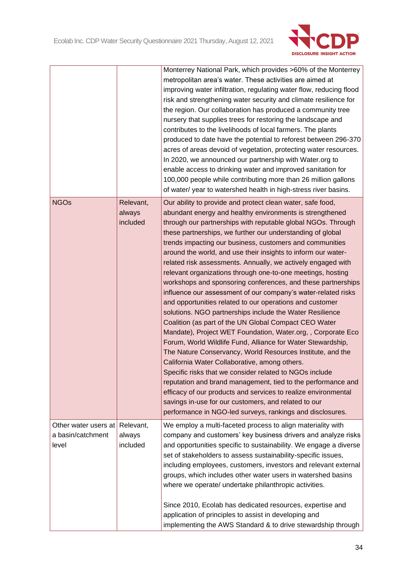

|                                                    |                                 | Monterrey National Park, which provides >60% of the Monterrey<br>metropolitan area's water. These activities are aimed at<br>improving water infiltration, regulating water flow, reducing flood<br>risk and strengthening water security and climate resilience for<br>the region. Our collaboration has produced a community tree<br>nursery that supplies trees for restoring the landscape and<br>contributes to the livelihoods of local farmers. The plants<br>produced to date have the potential to reforest between 296-370<br>acres of areas devoid of vegetation, protecting water resources.<br>In 2020, we announced our partnership with Water.org to<br>enable access to drinking water and improved sanitation for<br>100,000 people while contributing more than 26 million gallons<br>of water/ year to watershed health in high-stress river basins.                                                                                                                                                                                                                                                                                                                                                                                                                                                                                                                            |
|----------------------------------------------------|---------------------------------|----------------------------------------------------------------------------------------------------------------------------------------------------------------------------------------------------------------------------------------------------------------------------------------------------------------------------------------------------------------------------------------------------------------------------------------------------------------------------------------------------------------------------------------------------------------------------------------------------------------------------------------------------------------------------------------------------------------------------------------------------------------------------------------------------------------------------------------------------------------------------------------------------------------------------------------------------------------------------------------------------------------------------------------------------------------------------------------------------------------------------------------------------------------------------------------------------------------------------------------------------------------------------------------------------------------------------------------------------------------------------------------------------|
| <b>NGOs</b>                                        | Relevant,<br>always<br>included | Our ability to provide and protect clean water, safe food,<br>abundant energy and healthy environments is strengthened<br>through our partnerships with reputable global NGOs. Through<br>these partnerships, we further our understanding of global<br>trends impacting our business, customers and communities<br>around the world, and use their insights to inform our water-<br>related risk assessments. Annually, we actively engaged with<br>relevant organizations through one-to-one meetings, hosting<br>workshops and sponsoring conferences, and these partnerships<br>influence our assessment of our company's water-related risks<br>and opportunities related to our operations and customer<br>solutions. NGO partnerships include the Water Resilience<br>Coalition (as part of the UN Global Compact CEO Water<br>Mandate), Project WET Foundation, Water.org, , Corporate Eco<br>Forum, World Wildlife Fund, Alliance for Water Stewardship,<br>The Nature Conservancy, World Resources Institute, and the<br>California Water Collaborative, among others.<br>Specific risks that we consider related to NGOs include<br>reputation and brand management, tied to the performance and<br>efficacy of our products and services to realize environmental<br>savings in-use for our customers, and related to our<br>performance in NGO-led surveys, rankings and disclosures. |
| Other water users at<br>a basin/catchment<br>level | Relevant,<br>always<br>included | We employ a multi-faceted process to align materiality with<br>company and customers' key business drivers and analyze risks<br>and opportunities specific to sustainability. We engage a diverse<br>set of stakeholders to assess sustainability-specific issues,<br>including employees, customers, investors and relevant external<br>groups, which includes other water users in watershed basins<br>where we operate/ undertake philanthropic activities.<br>Since 2010, Ecolab has dedicated resources, expertise and<br>application of principles to assist in developing and<br>implementing the AWS Standard & to drive stewardship through                                                                                                                                                                                                                                                                                                                                                                                                                                                                                                                                                                                                                                                                                                                                               |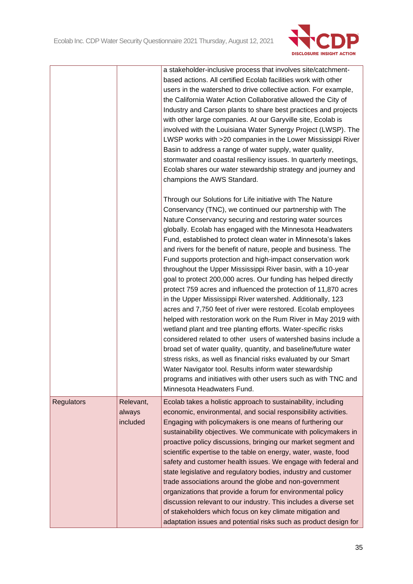

|                   |                                 | a stakeholder-inclusive process that involves site/catchment-<br>based actions. All certified Ecolab facilities work with other<br>users in the watershed to drive collective action. For example,<br>the California Water Action Collaborative allowed the City of<br>Industry and Carson plants to share best practices and projects<br>with other large companies. At our Garyville site, Ecolab is<br>involved with the Louisiana Water Synergy Project (LWSP). The<br>LWSP works with >20 companies in the Lower Mississippi River<br>Basin to address a range of water supply, water quality,<br>stormwater and coastal resiliency issues. In quarterly meetings,<br>Ecolab shares our water stewardship strategy and journey and<br>champions the AWS Standard.                                                                                                                                                                                                                                                                                                                                                                                                                                                                                                                     |
|-------------------|---------------------------------|--------------------------------------------------------------------------------------------------------------------------------------------------------------------------------------------------------------------------------------------------------------------------------------------------------------------------------------------------------------------------------------------------------------------------------------------------------------------------------------------------------------------------------------------------------------------------------------------------------------------------------------------------------------------------------------------------------------------------------------------------------------------------------------------------------------------------------------------------------------------------------------------------------------------------------------------------------------------------------------------------------------------------------------------------------------------------------------------------------------------------------------------------------------------------------------------------------------------------------------------------------------------------------------------|
|                   |                                 | Through our Solutions for Life initiative with The Nature<br>Conservancy (TNC), we continued our partnership with The<br>Nature Conservancy securing and restoring water sources<br>globally. Ecolab has engaged with the Minnesota Headwaters<br>Fund, established to protect clean water in Minnesota's lakes<br>and rivers for the benefit of nature, people and business. The<br>Fund supports protection and high-impact conservation work<br>throughout the Upper Mississippi River basin, with a 10-year<br>goal to protect 200,000 acres. Our funding has helped directly<br>protect 759 acres and influenced the protection of 11,870 acres<br>in the Upper Mississippi River watershed. Additionally, 123<br>acres and 7,750 feet of river were restored. Ecolab employees<br>helped with restoration work on the Rum River in May 2019 with<br>wetland plant and tree planting efforts. Water-specific risks<br>considered related to other users of watershed basins include a<br>broad set of water quality, quantity, and baseline/future water<br>stress risks, as well as financial risks evaluated by our Smart<br>Water Navigator tool. Results inform water stewardship<br>programs and initiatives with other users such as with TNC and<br>Minnesota Headwaters Fund. |
| <b>Regulators</b> | Relevant,<br>always<br>included | Ecolab takes a holistic approach to sustainability, including<br>economic, environmental, and social responsibility activities.<br>Engaging with policymakers is one means of furthering our<br>sustainability objectives. We communicate with policymakers in<br>proactive policy discussions, bringing our market segment and<br>scientific expertise to the table on energy, water, waste, food<br>safety and customer health issues. We engage with federal and<br>state legislative and regulatory bodies, industry and customer<br>trade associations around the globe and non-government<br>organizations that provide a forum for environmental policy<br>discussion relevant to our industry. This includes a diverse set<br>of stakeholders which focus on key climate mitigation and<br>adaptation issues and potential risks such as product design for                                                                                                                                                                                                                                                                                                                                                                                                                        |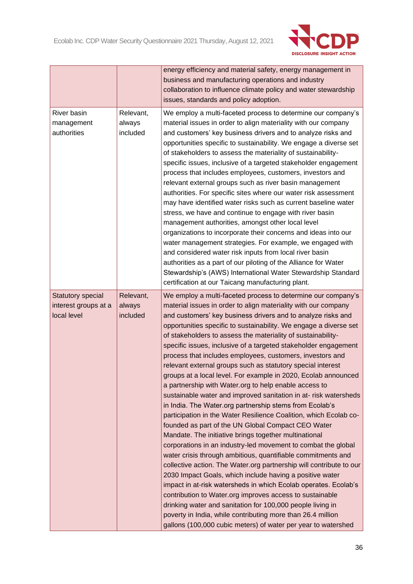

|                                                          |                                 | energy efficiency and material safety, energy management in<br>business and manufacturing operations and industry<br>collaboration to influence climate policy and water stewardship<br>issues, standards and policy adoption.                                                                                                                                                                                                                                                                                                                                                                                                                                                                                                                                                                                                                                                                                                                                                                                                                                                                                                                                                                                                                                                                                                                                                                                                                                                                                                                                                   |
|----------------------------------------------------------|---------------------------------|----------------------------------------------------------------------------------------------------------------------------------------------------------------------------------------------------------------------------------------------------------------------------------------------------------------------------------------------------------------------------------------------------------------------------------------------------------------------------------------------------------------------------------------------------------------------------------------------------------------------------------------------------------------------------------------------------------------------------------------------------------------------------------------------------------------------------------------------------------------------------------------------------------------------------------------------------------------------------------------------------------------------------------------------------------------------------------------------------------------------------------------------------------------------------------------------------------------------------------------------------------------------------------------------------------------------------------------------------------------------------------------------------------------------------------------------------------------------------------------------------------------------------------------------------------------------------------|
| River basin<br>management<br>authorities                 | Relevant,<br>always<br>included | We employ a multi-faceted process to determine our company's<br>material issues in order to align materiality with our company<br>and customers' key business drivers and to analyze risks and<br>opportunities specific to sustainability. We engage a diverse set<br>of stakeholders to assess the materiality of sustainability-<br>specific issues, inclusive of a targeted stakeholder engagement<br>process that includes employees, customers, investors and<br>relevant external groups such as river basin management<br>authorities. For specific sites where our water risk assessment<br>may have identified water risks such as current baseline water<br>stress, we have and continue to engage with river basin<br>management authorities, amongst other local level<br>organizations to incorporate their concerns and ideas into our<br>water management strategies. For example, we engaged with<br>and considered water risk inputs from local river basin<br>authorities as a part of our piloting of the Alliance for Water<br>Stewardship's (AWS) International Water Stewardship Standard<br>certification at our Taicang manufacturing plant.                                                                                                                                                                                                                                                                                                                                                                                                            |
| Statutory special<br>interest groups at a<br>local level | Relevant,<br>always<br>included | We employ a multi-faceted process to determine our company's<br>material issues in order to align materiality with our company<br>and customers' key business drivers and to analyze risks and<br>opportunities specific to sustainability. We engage a diverse set<br>of stakeholders to assess the materiality of sustainability-<br>specific issues, inclusive of a targeted stakeholder engagement<br>process that includes employees, customers, investors and<br>relevant external groups such as statutory special interest<br>groups at a local level. For example in 2020, Ecolab announced<br>a partnership with Water.org to help enable access to<br>sustainable water and improved sanitation in at-risk watersheds<br>in India. The Water.org partnership stems from Ecolab's<br>participation in the Water Resilience Coalition, which Ecolab co-<br>founded as part of the UN Global Compact CEO Water<br>Mandate. The initiative brings together multinational<br>corporations in an industry-led movement to combat the global<br>water crisis through ambitious, quantifiable commitments and<br>collective action. The Water.org partnership will contribute to our<br>2030 Impact Goals, which include having a positive water<br>impact in at-risk watersheds in which Ecolab operates. Ecolab's<br>contribution to Water.org improves access to sustainable<br>drinking water and sanitation for 100,000 people living in<br>poverty in India, while contributing more than 26.4 million<br>gallons (100,000 cubic meters) of water per year to watershed |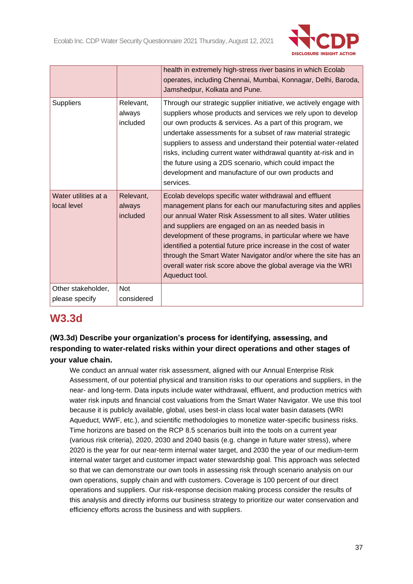

|                                      |                                 | health in extremely high-stress river basins in which Ecolab<br>operates, including Chennai, Mumbai, Konnagar, Delhi, Baroda,<br>Jamshedpur, Kolkata and Pune.                                                                                                                                                                                                                                                                                                                                                                            |
|--------------------------------------|---------------------------------|-------------------------------------------------------------------------------------------------------------------------------------------------------------------------------------------------------------------------------------------------------------------------------------------------------------------------------------------------------------------------------------------------------------------------------------------------------------------------------------------------------------------------------------------|
| <b>Suppliers</b>                     | Relevant,<br>always<br>included | Through our strategic supplier initiative, we actively engage with<br>suppliers whose products and services we rely upon to develop<br>our own products & services. As a part of this program, we<br>undertake assessments for a subset of raw material strategic<br>suppliers to assess and understand their potential water-related<br>risks, including current water withdrawal quantity at-risk and in<br>the future using a 2DS scenario, which could impact the<br>development and manufacture of our own products and<br>services. |
| Water utilities at a<br>local level  | Relevant,<br>always<br>included | Ecolab develops specific water withdrawal and effluent<br>management plans for each our manufacturing sites and applies<br>our annual Water Risk Assessment to all sites. Water utilities<br>and suppliers are engaged on an as needed basis in<br>development of these programs, in particular where we have<br>identified a potential future price increase in the cost of water<br>through the Smart Water Navigator and/or where the site has an<br>overall water risk score above the global average via the WRI<br>Aqueduct tool.   |
| Other stakeholder,<br>please specify | <b>Not</b><br>considered        |                                                                                                                                                                                                                                                                                                                                                                                                                                                                                                                                           |

# **W3.3d**

# **(W3.3d) Describe your organization's process for identifying, assessing, and responding to water-related risks within your direct operations and other stages of your value chain.**

We conduct an annual water risk assessment, aligned with our Annual Enterprise Risk Assessment, of our potential physical and transition risks to our operations and suppliers, in the near- and long-term. Data inputs include water withdrawal, effluent, and production metrics with water risk inputs and financial cost valuations from the Smart Water Navigator. We use this tool because it is publicly available, global, uses best-in class local water basin datasets (WRI Aqueduct, WWF, etc.), and scientific methodologies to monetize water-specific business risks. Time horizons are based on the RCP 8.5 scenarios built into the tools on a current year (various risk criteria), 2020, 2030 and 2040 basis (e.g. change in future water stress), where 2020 is the year for our near-term internal water target, and 2030 the year of our medium-term internal water target and customer impact water stewardship goal. This approach was selected so that we can demonstrate our own tools in assessing risk through scenario analysis on our own operations, supply chain and with customers. Coverage is 100 percent of our direct operations and suppliers. Our risk-response decision making process consider the results of this analysis and directly informs our business strategy to prioritize our water conservation and efficiency efforts across the business and with suppliers.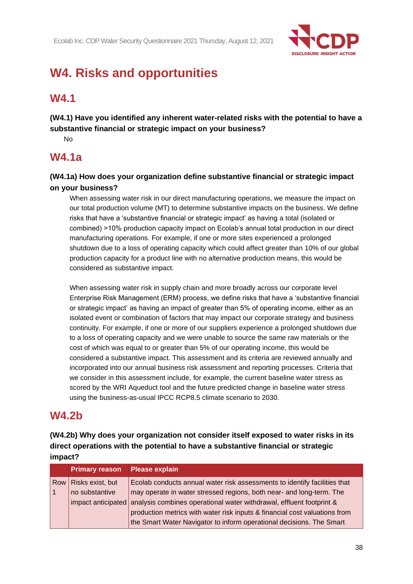

# **W4. Risks and opportunities**

# **W4.1**

**(W4.1) Have you identified any inherent water-related risks with the potential to have a substantive financial or strategic impact on your business?**

No

# **W4.1a**

**(W4.1a) How does your organization define substantive financial or strategic impact on your business?**

When assessing water risk in our direct manufacturing operations, we measure the impact on our total production volume (MT) to determine substantive impacts on the business. We define risks that have a 'substantive financial or strategic impact' as having a total (isolated or combined) >10% production capacity impact on Ecolab's annual total production in our direct manufacturing operations. For example, if one or more sites experienced a prolonged shutdown due to a loss of operating capacity which could affect greater than 10% of our global production capacity for a product line with no alternative production means, this would be considered as substantive impact.

When assessing water risk in supply chain and more broadly across our corporate level Enterprise Risk Management (ERM) process, we define risks that have a 'substantive financial or strategic impact' as having an impact of greater than 5% of operating income, either as an isolated event or combination of factors that may impact our corporate strategy and business continuity. For example, if one or more of our suppliers experience a prolonged shutdown due to a loss of operating capacity and we were unable to source the same raw materials or the cost of which was equal to or greater than 5% of our operating income, this would be considered a substantive impact. This assessment and its criteria are reviewed annually and incorporated into our annual business risk assessment and reporting processes. Criteria that we consider in this assessment include, for example, the current baseline water stress as scored by the WRI Aqueduct tool and the future predicted change in baseline water stress using the business-as-usual IPCC RCP8.5 climate scenario to 2030.

# **W4.2b**

**(W4.2b) Why does your organization not consider itself exposed to water risks in its direct operations with the potential to have a substantive financial or strategic impact?**

| <b>Primary reason</b> | <b>Please explain</b>                                                                   |
|-----------------------|-----------------------------------------------------------------------------------------|
| Row Risks exist, but  | Ecolab conducts annual water risk assessments to identify facilities that               |
| no substantive        | may operate in water stressed regions, both near- and long-term. The                    |
|                       | impact anticipated analysis combines operational water withdrawal, effluent footprint & |
|                       | production metrics with water risk inputs & financial cost valuations from              |
|                       | the Smart Water Navigator to inform operational decisions. The Smart                    |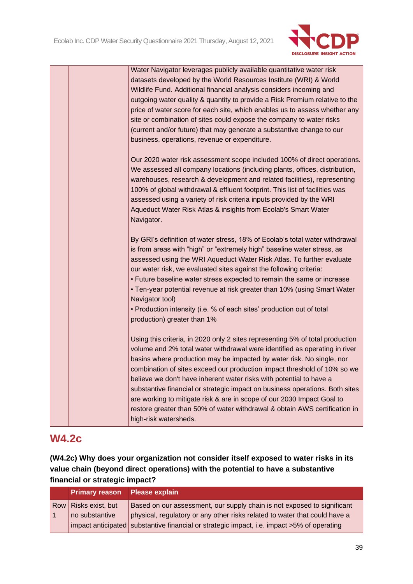

|  | Water Navigator leverages publicly available quantitative water risk<br>datasets developed by the World Resources Institute (WRI) & World<br>Wildlife Fund. Additional financial analysis considers incoming and<br>outgoing water quality & quantity to provide a Risk Premium relative to the<br>price of water score for each site, which enables us to assess whether any<br>site or combination of sites could expose the company to water risks<br>(current and/or future) that may generate a substantive change to our<br>business, operations, revenue or expenditure.                                                                          |
|--|----------------------------------------------------------------------------------------------------------------------------------------------------------------------------------------------------------------------------------------------------------------------------------------------------------------------------------------------------------------------------------------------------------------------------------------------------------------------------------------------------------------------------------------------------------------------------------------------------------------------------------------------------------|
|  | Our 2020 water risk assessment scope included 100% of direct operations.<br>We assessed all company locations (including plants, offices, distribution,<br>warehouses, research & development and related facilities), representing<br>100% of global withdrawal & effluent footprint. This list of facilities was<br>assessed using a variety of risk criteria inputs provided by the WRI<br>Aqueduct Water Risk Atlas & insights from Ecolab's Smart Water<br>Navigator.                                                                                                                                                                               |
|  | By GRI's definition of water stress, 18% of Ecolab's total water withdrawal<br>is from areas with "high" or "extremely high" baseline water stress, as<br>assessed using the WRI Aqueduct Water Risk Atlas. To further evaluate<br>our water risk, we evaluated sites against the following criteria:<br>• Future baseline water stress expected to remain the same or increase<br>• Ten-year potential revenue at risk greater than 10% (using Smart Water<br>Navigator tool)<br>• Production intensity (i.e. % of each sites' production out of total<br>production) greater than 1%                                                                   |
|  | Using this criteria, in 2020 only 2 sites representing 5% of total production<br>volume and 2% total water withdrawal were identified as operating in river<br>basins where production may be impacted by water risk. No single, nor<br>combination of sites exceed our production impact threshold of 10% so we<br>believe we don't have inherent water risks with potential to have a<br>substantive financial or strategic impact on business operations. Both sites<br>are working to mitigate risk & are in scope of our 2030 Impact Goal to<br>restore greater than 50% of water withdrawal & obtain AWS certification in<br>high-risk watersheds. |

# **W4.2c**

**(W4.2c) Why does your organization not consider itself exposed to water risks in its value chain (beyond direct operations) with the potential to have a substantive financial or strategic impact?**

| Primary reason Please explain |                                                                                            |
|-------------------------------|--------------------------------------------------------------------------------------------|
| Row Risks exist, but          | Based on our assessment, our supply chain is not exposed to significant                    |
| no substantive                | physical, regulatory or any other risks related to water that could have a                 |
|                               | impact anticipated substantive financial or strategic impact, i.e. impact >5% of operating |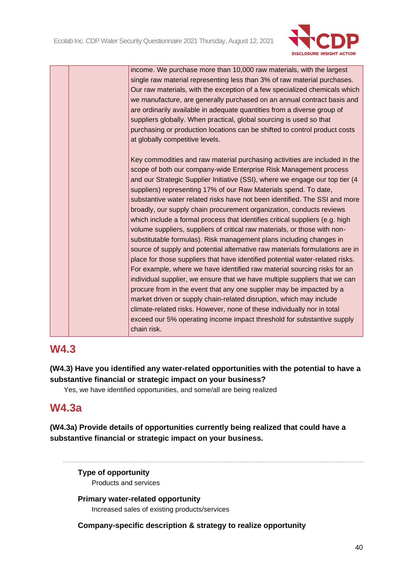

income. We purchase more than 10,000 raw materials, with the largest single raw material representing less than 3% of raw material purchases. Our raw materials, with the exception of a few specialized chemicals which we manufacture, are generally purchased on an annual contract basis and are ordinarily available in adequate quantities from a diverse group of suppliers globally. When practical, global sourcing is used so that purchasing or production locations can be shifted to control product costs at globally competitive levels.

Key commodities and raw material purchasing activities are included in the scope of both our company-wide Enterprise Risk Management process and our Strategic Supplier Initiative (SSI), where we engage our top tier (4 suppliers) representing 17% of our Raw Materials spend. To date, substantive water related risks have not been identified. The SSI and more broadly, our supply chain procurement organization, conducts reviews which include a formal process that identifies critical suppliers (e.g. high volume suppliers, suppliers of critical raw materials, or those with nonsubstitutable formulas). Risk management plans including changes in source of supply and potential alternative raw materials formulations are in place for those suppliers that have identified potential water-related risks. For example, where we have identified raw material sourcing risks for an individual supplier, we ensure that we have multiple suppliers that we can procure from in the event that any one supplier may be impacted by a market driven or supply chain-related disruption, which may include climate-related risks. However, none of these individually nor in total exceed our 5% operating income impact threshold for substantive supply chain risk.

# **W4.3**

**(W4.3) Have you identified any water-related opportunities with the potential to have a substantive financial or strategic impact on your business?**

Yes, we have identified opportunities, and some/all are being realized

# **W4.3a**

**(W4.3a) Provide details of opportunities currently being realized that could have a substantive financial or strategic impact on your business.**

# **Type of opportunity**

Products and services

**Primary water-related opportunity** Increased sales of existing products/services

# **Company-specific description & strategy to realize opportunity**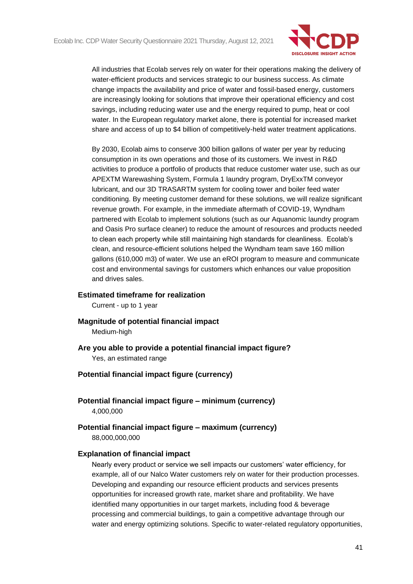

All industries that Ecolab serves rely on water for their operations making the delivery of water-efficient products and services strategic to our business success. As climate change impacts the availability and price of water and fossil-based energy, customers are increasingly looking for solutions that improve their operational efficiency and cost savings, including reducing water use and the energy required to pump, heat or cool water. In the European regulatory market alone, there is potential for increased market share and access of up to \$4 billion of competitively-held water treatment applications.

By 2030, Ecolab aims to conserve 300 billion gallons of water per year by reducing consumption in its own operations and those of its customers. We invest in R&D activities to produce a portfolio of products that reduce customer water use, such as our APEXTM Warewashing System, Formula 1 laundry program, DryExxTM conveyor lubricant, and our 3D TRASARTM system for cooling tower and boiler feed water conditioning. By meeting customer demand for these solutions, we will realize significant revenue growth. For example, in the immediate aftermath of COVID-19, Wyndham partnered with Ecolab to implement solutions (such as our Aquanomic laundry program and Oasis Pro surface cleaner) to reduce the amount of resources and products needed to clean each property while still maintaining high standards for cleanliness. Ecolab's clean, and resource-efficient solutions helped the Wyndham team save 160 million gallons (610,000 m3) of water. We use an eROI program to measure and communicate cost and environmental savings for customers which enhances our value proposition and drives sales.

### **Estimated timeframe for realization**

Current - up to 1 year

**Magnitude of potential financial impact**

Medium-high

**Are you able to provide a potential financial impact figure?**

Yes, an estimated range

## **Potential financial impact figure (currency)**

**Potential financial impact figure – minimum (currency)** 4,000,000

**Potential financial impact figure – maximum (currency)** 88,000,000,000

## **Explanation of financial impact**

Nearly every product or service we sell impacts our customers' water efficiency, for example, all of our Nalco Water customers rely on water for their production processes. Developing and expanding our resource efficient products and services presents opportunities for increased growth rate, market share and profitability. We have identified many opportunities in our target markets, including food & beverage processing and commercial buildings, to gain a competitive advantage through our water and energy optimizing solutions. Specific to water-related regulatory opportunities,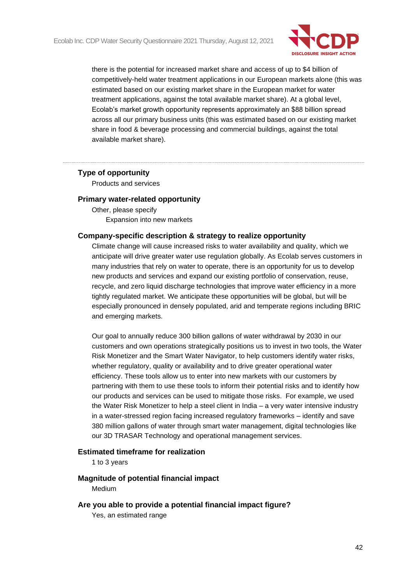

there is the potential for increased market share and access of up to \$4 billion of competitively-held water treatment applications in our European markets alone (this was estimated based on our existing market share in the European market for water treatment applications, against the total available market share). At a global level, Ecolab's market growth opportunity represents approximately an \$88 billion spread across all our primary business units (this was estimated based on our existing market share in food & beverage processing and commercial buildings, against the total available market share).

## **Type of opportunity**

Products and services

### **Primary water-related opportunity**

Other, please specify Expansion into new markets

## **Company-specific description & strategy to realize opportunity**

Climate change will cause increased risks to water availability and quality, which we anticipate will drive greater water use regulation globally. As Ecolab serves customers in many industries that rely on water to operate, there is an opportunity for us to develop new products and services and expand our existing portfolio of conservation, reuse, recycle, and zero liquid discharge technologies that improve water efficiency in a more tightly regulated market. We anticipate these opportunities will be global, but will be especially pronounced in densely populated, arid and temperate regions including BRIC and emerging markets.

Our goal to annually reduce 300 billion gallons of water withdrawal by 2030 in our customers and own operations strategically positions us to invest in two tools, the Water Risk Monetizer and the Smart Water Navigator, to help customers identify water risks, whether regulatory, quality or availability and to drive greater operational water efficiency. These tools allow us to enter into new markets with our customers by partnering with them to use these tools to inform their potential risks and to identify how our products and services can be used to mitigate those risks. For example, we used the Water Risk Monetizer to help a steel client in India – a very water intensive industry in a water-stressed region facing increased regulatory frameworks – identify and save 380 million gallons of water through smart water management, digital technologies like our 3D TRASAR Technology and operational management services.

### **Estimated timeframe for realization**

1 to 3 years

### **Magnitude of potential financial impact**

Medium

## **Are you able to provide a potential financial impact figure?**

Yes, an estimated range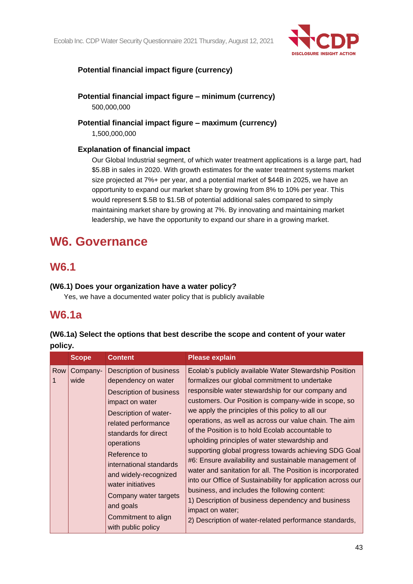Ecolab Inc. CDP Water Security Questionnaire 2021 Thursday, August 12, 2021



# **Potential financial impact figure (currency)**

**Potential financial impact figure – minimum (currency)** 500,000,000

**Potential financial impact figure – maximum (currency)** 1,500,000,000

# **Explanation of financial impact**

Our Global Industrial segment, of which water treatment applications is a large part, had \$5.8B in sales in 2020. With growth estimates for the water treatment systems market size projected at 7%+ per year, and a potential market of \$44B in 2025, we have an opportunity to expand our market share by growing from 8% to 10% per year. This would represent \$.5B to \$1.5B of potential additional sales compared to simply maintaining market share by growing at 7%. By innovating and maintaining market leadership, we have the opportunity to expand our share in a growing market.

# **W6. Governance**

# **W6.1**

# **(W6.1) Does your organization have a water policy?**

Yes, we have a documented water policy that is publicly available

# **W6.1a**

# **(W6.1a) Select the options that best describe the scope and content of your water policy.**

|     | <b>Scope</b>     | <b>Content</b>                                                                                                                                                                                                                                                                                                                                                 | <b>Please explain</b>                                                                                                                                                                                                                                                                                                                                                                                                                                                                                                                                                                                                                                                                                                                                                                                                                                                         |
|-----|------------------|----------------------------------------------------------------------------------------------------------------------------------------------------------------------------------------------------------------------------------------------------------------------------------------------------------------------------------------------------------------|-------------------------------------------------------------------------------------------------------------------------------------------------------------------------------------------------------------------------------------------------------------------------------------------------------------------------------------------------------------------------------------------------------------------------------------------------------------------------------------------------------------------------------------------------------------------------------------------------------------------------------------------------------------------------------------------------------------------------------------------------------------------------------------------------------------------------------------------------------------------------------|
| Row | Company-<br>wide | Description of business<br>dependency on water<br>Description of business<br>impact on water<br>Description of water-<br>related performance<br>standards for direct<br>operations<br>Reference to<br>international standards<br>and widely-recognized<br>water initiatives<br>Company water targets<br>and goals<br>Commitment to align<br>with public policy | Ecolab's publicly available Water Stewardship Position<br>formalizes our global commitment to undertake<br>responsible water stewardship for our company and<br>customers. Our Position is company-wide in scope, so<br>we apply the principles of this policy to all our<br>operations, as well as across our value chain. The aim<br>of the Position is to hold Ecolab accountable to<br>upholding principles of water stewardship and<br>supporting global progress towards achieving SDG Goal<br>#6: Ensure availability and sustainable management of<br>water and sanitation for all. The Position is incorporated<br>into our Office of Sustainability for application across our<br>business, and includes the following content:<br>1) Description of business dependency and business<br>impact on water;<br>2) Description of water-related performance standards, |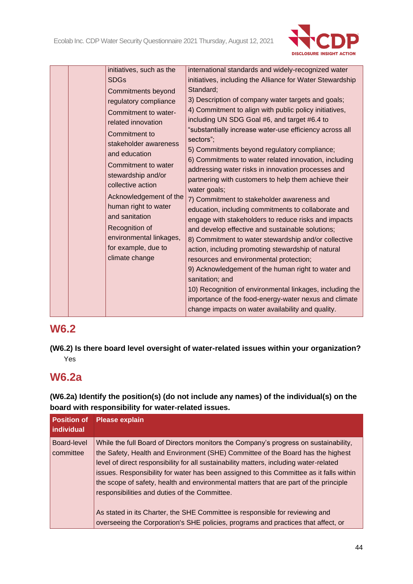

|  | initiatives, such as the<br><b>SDGs</b><br>Commitments beyond<br>regulatory compliance<br>Commitment to water-<br>related innovation<br>Commitment to                                                                    | international standards and widely-recognized water<br>initiatives, including the Alliance for Water Stewardship<br>Standard;<br>3) Description of company water targets and goals;<br>4) Commitment to align with public policy initiatives,<br>including UN SDG Goal #6, and target #6.4 to<br>"substantially increase water-use efficiency across all<br>sectors";                                                                                                                                                                                                                                                                                                                                                                                                                                            |
|--|--------------------------------------------------------------------------------------------------------------------------------------------------------------------------------------------------------------------------|------------------------------------------------------------------------------------------------------------------------------------------------------------------------------------------------------------------------------------------------------------------------------------------------------------------------------------------------------------------------------------------------------------------------------------------------------------------------------------------------------------------------------------------------------------------------------------------------------------------------------------------------------------------------------------------------------------------------------------------------------------------------------------------------------------------|
|  | Commitment to water<br>stewardship and/or<br>collective action<br>Acknowledgement of the<br>human right to water<br>and sanitation<br>Recognition of<br>environmental linkages,<br>for example, due to<br>climate change | 6) Commitments to water related innovation, including<br>addressing water risks in innovation processes and<br>partnering with customers to help them achieve their<br>water goals;<br>7) Commitment to stakeholder awareness and<br>education, including commitments to collaborate and<br>engage with stakeholders to reduce risks and impacts<br>and develop effective and sustainable solutions;<br>8) Commitment to water stewardship and/or collective<br>action, including promoting stewardship of natural<br>resources and environmental protection;<br>9) Acknowledgement of the human right to water and<br>sanitation; and<br>10) Recognition of environmental linkages, including the<br>importance of the food-energy-water nexus and climate<br>change impacts on water availability and quality. |

# **W6.2**

**(W6.2) Is there board level oversight of water-related issues within your organization?** Yes

# **W6.2a**

**(W6.2a) Identify the position(s) (do not include any names) of the individual(s) on the board with responsibility for water-related issues.**

| <b>Position of</b><br>individual | <b>Please explain</b>                                                                                                                                                                                                                                                                                                                                                                                                                                                                                                                                                                                                                                                      |
|----------------------------------|----------------------------------------------------------------------------------------------------------------------------------------------------------------------------------------------------------------------------------------------------------------------------------------------------------------------------------------------------------------------------------------------------------------------------------------------------------------------------------------------------------------------------------------------------------------------------------------------------------------------------------------------------------------------------|
| Board-level<br>committee         | While the full Board of Directors monitors the Company's progress on sustainability,<br>the Safety, Health and Environment (SHE) Committee of the Board has the highest<br>level of direct responsibility for all sustainability matters, including water-related<br>issues. Responsibility for water has been assigned to this Committee as it falls within<br>the scope of safety, health and environmental matters that are part of the principle<br>responsibilities and duties of the Committee.<br>As stated in its Charter, the SHE Committee is responsible for reviewing and<br>overseeing the Corporation's SHE policies, programs and practices that affect, or |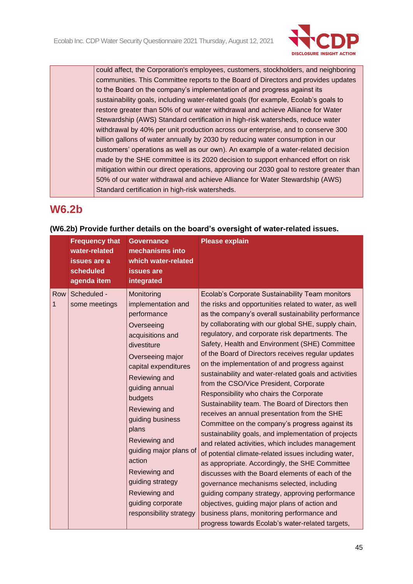

could affect, the Corporation's employees, customers, stockholders, and neighboring communities. This Committee reports to the Board of Directors and provides updates to the Board on the company's implementation of and progress against its sustainability goals, including water-related goals (for example, Ecolab's goals to restore greater than 50% of our water withdrawal and achieve Alliance for Water Stewardship (AWS) Standard certification in high-risk watersheds, reduce water withdrawal by 40% per unit production across our enterprise, and to conserve 300 billion gallons of water annually by 2030 by reducing water consumption in our customers' operations as well as our own). An example of a water-related decision made by the SHE committee is its 2020 decision to support enhanced effort on risk mitigation within our direct operations, approving our 2030 goal to restore greater than 50% of our water withdrawal and achieve Alliance for Water Stewardship (AWS) Standard certification in high-risk watersheds.

# **W6.2b**

|          | <b>Frequency that</b><br>water-related<br>issues are a<br>scheduled<br>agenda item | <b>Governance</b><br>mechanisms into<br>which water-related<br><b>issues</b> are<br>integrated                                                                                                                                                                                                                                                                                                      | <b>Please explain</b>                                                                                                                                                                                                                                                                                                                                                                                                                                                                                                                                                                                                                                                                                                                                                                                                                                                                                                                                                                                                                                                                                                                                                                                                                                                 |
|----------|------------------------------------------------------------------------------------|-----------------------------------------------------------------------------------------------------------------------------------------------------------------------------------------------------------------------------------------------------------------------------------------------------------------------------------------------------------------------------------------------------|-----------------------------------------------------------------------------------------------------------------------------------------------------------------------------------------------------------------------------------------------------------------------------------------------------------------------------------------------------------------------------------------------------------------------------------------------------------------------------------------------------------------------------------------------------------------------------------------------------------------------------------------------------------------------------------------------------------------------------------------------------------------------------------------------------------------------------------------------------------------------------------------------------------------------------------------------------------------------------------------------------------------------------------------------------------------------------------------------------------------------------------------------------------------------------------------------------------------------------------------------------------------------|
| Row<br>1 | Scheduled -<br>some meetings                                                       | Monitoring<br>implementation and<br>performance<br>Overseeing<br>acquisitions and<br>divestiture<br>Overseeing major<br>capital expenditures<br>Reviewing and<br>guiding annual<br>budgets<br>Reviewing and<br>guiding business<br>plans<br>Reviewing and<br>guiding major plans of<br>action<br>Reviewing and<br>guiding strategy<br>Reviewing and<br>guiding corporate<br>responsibility strategy | Ecolab's Corporate Sustainability Team monitors<br>the risks and opportunities related to water, as well<br>as the company's overall sustainability performance<br>by collaborating with our global SHE, supply chain,<br>regulatory, and corporate risk departments. The<br>Safety, Health and Environment (SHE) Committee<br>of the Board of Directors receives regular updates<br>on the implementation of and progress against<br>sustainability and water-related goals and activities<br>from the CSO/Vice President, Corporate<br>Responsibility who chairs the Corporate<br>Sustainability team. The Board of Directors then<br>receives an annual presentation from the SHE<br>Committee on the company's progress against its<br>sustainability goals, and implementation of projects<br>and related activities, which includes management<br>of potential climate-related issues including water,<br>as appropriate. Accordingly, the SHE Committee<br>discusses with the Board elements of each of the<br>governance mechanisms selected, including<br>guiding company strategy, approving performance<br>objectives, guiding major plans of action and<br>business plans, monitoring performance and<br>progress towards Ecolab's water-related targets, |

# **(W6.2b) Provide further details on the board's oversight of water-related issues.**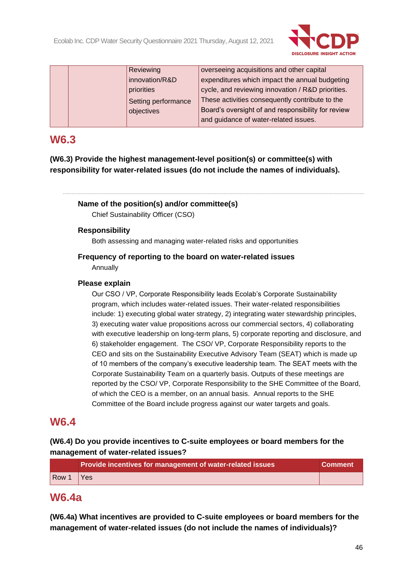

| Reviewing           | overseeing acquisitions and other capital          |
|---------------------|----------------------------------------------------|
| innovation/R&D      | expenditures which impact the annual budgeting     |
| priorities          | cycle, and reviewing innovation / R&D priorities.  |
| Setting performance | These activities consequently contribute to the    |
| objectives          | Board's oversight of and responsibility for review |
|                     | and guidance of water-related issues.              |
|                     |                                                    |

# **W6.3**

**(W6.3) Provide the highest management-level position(s) or committee(s) with responsibility for water-related issues (do not include the names of individuals).**

# **Name of the position(s) and/or committee(s)**

Chief Sustainability Officer (CSO)

# **Responsibility**

Both assessing and managing water-related risks and opportunities

# **Frequency of reporting to the board on water-related issues** Annually

## **Please explain**

Our CSO / VP, Corporate Responsibility leads Ecolab's Corporate Sustainability program, which includes water-related issues. Their water-related responsibilities include: 1) executing global water strategy, 2) integrating water stewardship principles, 3) executing water value propositions across our commercial sectors, 4) collaborating with executive leadership on long-term plans, 5) corporate reporting and disclosure, and 6) stakeholder engagement. The CSO/ VP, Corporate Responsibility reports to the CEO and sits on the Sustainability Executive Advisory Team (SEAT) which is made up of 10 members of the company's executive leadership team. The SEAT meets with the Corporate Sustainability Team on a quarterly basis. Outputs of these meetings are reported by the CSO/ VP, Corporate Responsibility to the SHE Committee of the Board, of which the CEO is a member, on an annual basis. Annual reports to the SHE Committee of the Board include progress against our water targets and goals.

# **W6.4**

# **(W6.4) Do you provide incentives to C-suite employees or board members for the management of water-related issues?**

|       | Provide incentives for management of water-related issues | <b>Comment</b> |
|-------|-----------------------------------------------------------|----------------|
| Row 1 | Yes                                                       |                |

# **W6.4a**

**(W6.4a) What incentives are provided to C-suite employees or board members for the management of water-related issues (do not include the names of individuals)?**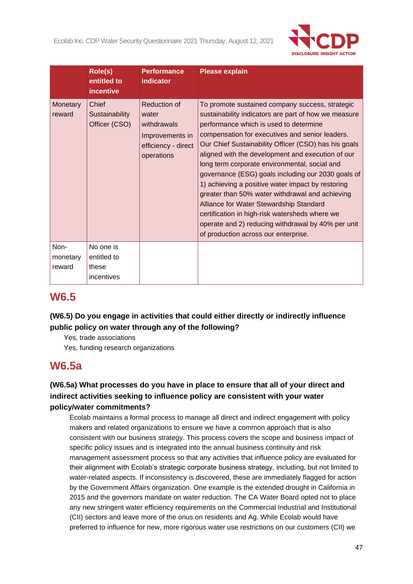

|                            | Role(s)<br>entitled to<br><i>incentive</i>      | <b>Performance</b><br>indicator                                                              | <b>Please explain</b>                                                                                                                                                                                                                                                                                                                                                                                                                                                                                                                                                                                                                                                                                                       |
|----------------------------|-------------------------------------------------|----------------------------------------------------------------------------------------------|-----------------------------------------------------------------------------------------------------------------------------------------------------------------------------------------------------------------------------------------------------------------------------------------------------------------------------------------------------------------------------------------------------------------------------------------------------------------------------------------------------------------------------------------------------------------------------------------------------------------------------------------------------------------------------------------------------------------------------|
| Monetary<br>reward         | Chief<br>Sustainability<br>Officer (CSO)        | Reduction of<br>water<br>withdrawals<br>Improvements in<br>efficiency - direct<br>operations | To promote sustained company success, strategic<br>sustainability indicators are part of how we measure<br>performance which is used to determine<br>compensation for executives and senior leaders.<br>Our Chief Sustainability Officer (CSO) has his goals<br>aligned with the development and execution of our<br>long term corporate environmental, social and<br>governance (ESG) goals including our 2030 goals of<br>1) achieving a positive water impact by restoring<br>greater than 50% water withdrawal and achieving<br>Alliance for Water Stewardship Standard<br>certification in high-risk watersheds where we<br>operate and 2) reducing withdrawal by 40% per unit<br>of production across our enterprise. |
| Non-<br>monetary<br>reward | No one is<br>entitled to<br>these<br>incentives |                                                                                              |                                                                                                                                                                                                                                                                                                                                                                                                                                                                                                                                                                                                                                                                                                                             |

# **W6.5**

**(W6.5) Do you engage in activities that could either directly or indirectly influence public policy on water through any of the following?**

Yes, trade associations

Yes, funding research organizations

# **W6.5a**

# **(W6.5a) What processes do you have in place to ensure that all of your direct and indirect activities seeking to influence policy are consistent with your water policy/water commitments?**

Ecolab maintains a formal process to manage all direct and indirect engagement with policy makers and related organizations to ensure we have a common approach that is also consistent with our business strategy. This process covers the scope and business impact of specific policy issues and is integrated into the annual business continuity and risk management assessment process so that any activities that influence policy are evaluated for their alignment with Ecolab's strategic corporate business strategy, including, but not limited to water-related aspects. If inconsistency is discovered, these are immediately flagged for action by the Government Affairs organization. One example is the extended drought in California in 2015 and the governors mandate on water reduction. The CA Water Board opted not to place any new stringent water efficiency requirements on the Commercial Industrial and Institutional (CII) sectors and leave more of the onus on residents and Ag. While Ecolab would have preferred to influence for new, more rigorous water use restrictions on our customers (CII) we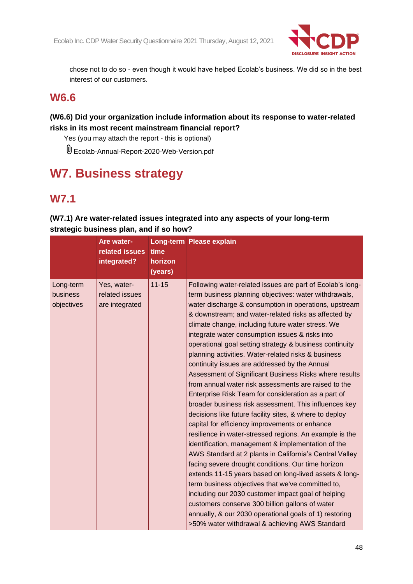

chose not to do so - even though it would have helped Ecolab's business. We did so in the best interest of our customers.

# **W6.6**

# **(W6.6) Did your organization include information about its response to water-related risks in its most recent mainstream financial report?**

Yes (you may attach the report - this is optional)

Ecolab-Annual-Report-2020-Web-Version.pdf

# **W7. Business strategy**

# **W7.1**

|                                     | Are water-<br>related issues<br>integrated?     | time<br>horizon<br>(years) | <b>Long-term Please explain</b>                                                                                                                                                                                                                                                                                                                                                                                                                                                                                                                                                                                                                                                                                                                                                                                                                                                                                                                                                                                                                                                                                                                                                                                                                                                                                                                                                                                                     |
|-------------------------------------|-------------------------------------------------|----------------------------|-------------------------------------------------------------------------------------------------------------------------------------------------------------------------------------------------------------------------------------------------------------------------------------------------------------------------------------------------------------------------------------------------------------------------------------------------------------------------------------------------------------------------------------------------------------------------------------------------------------------------------------------------------------------------------------------------------------------------------------------------------------------------------------------------------------------------------------------------------------------------------------------------------------------------------------------------------------------------------------------------------------------------------------------------------------------------------------------------------------------------------------------------------------------------------------------------------------------------------------------------------------------------------------------------------------------------------------------------------------------------------------------------------------------------------------|
| Long-term<br>business<br>objectives | Yes, water-<br>related issues<br>are integrated | $11 - 15$                  | Following water-related issues are part of Ecolab's long-<br>term business planning objectives: water withdrawals,<br>water discharge & consumption in operations, upstream<br>& downstream; and water-related risks as affected by<br>climate change, including future water stress. We<br>integrate water consumption issues & risks into<br>operational goal setting strategy & business continuity<br>planning activities. Water-related risks & business<br>continuity issues are addressed by the Annual<br>Assessment of Significant Business Risks where results<br>from annual water risk assessments are raised to the<br>Enterprise Risk Team for consideration as a part of<br>broader business risk assessment. This influences key<br>decisions like future facility sites, & where to deploy<br>capital for efficiency improvements or enhance<br>resilience in water-stressed regions. An example is the<br>identification, management & implementation of the<br>AWS Standard at 2 plants in California's Central Valley<br>facing severe drought conditions. Our time horizon<br>extends 11-15 years based on long-lived assets & long-<br>term business objectives that we've committed to,<br>including our 2030 customer impact goal of helping<br>customers conserve 300 billion gallons of water<br>annually, & our 2030 operational goals of 1) restoring<br>>50% water withdrawal & achieving AWS Standard |

**(W7.1) Are water-related issues integrated into any aspects of your long-term strategic business plan, and if so how?**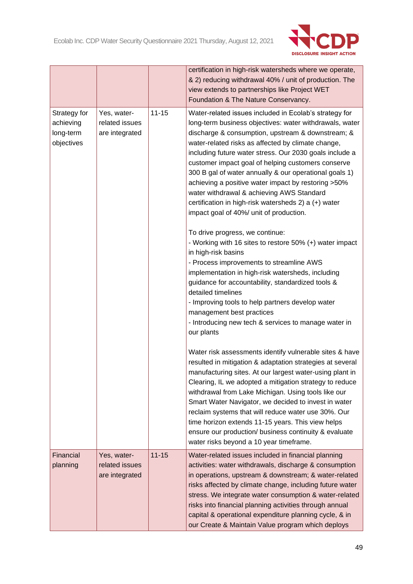

|                                                      |                                                 |           | certification in high-risk watersheds where we operate,<br>& 2) reducing withdrawal 40% / unit of production. The<br>view extends to partnerships like Project WET<br>Foundation & The Nature Conservancy.                                                                                                                                                                                                                                                                                                                                                                                                                                                                                                                                                                                                                                                                                                      |
|------------------------------------------------------|-------------------------------------------------|-----------|-----------------------------------------------------------------------------------------------------------------------------------------------------------------------------------------------------------------------------------------------------------------------------------------------------------------------------------------------------------------------------------------------------------------------------------------------------------------------------------------------------------------------------------------------------------------------------------------------------------------------------------------------------------------------------------------------------------------------------------------------------------------------------------------------------------------------------------------------------------------------------------------------------------------|
| Strategy for<br>achieving<br>long-term<br>objectives | Yes, water-<br>related issues<br>are integrated | $11 - 15$ | Water-related issues included in Ecolab's strategy for<br>long-term business objectives: water withdrawals, water<br>discharge & consumption, upstream & downstream; &<br>water-related risks as affected by climate change,<br>including future water stress. Our 2030 goals include a<br>customer impact goal of helping customers conserve<br>300 B gal of water annually & our operational goals 1)<br>achieving a positive water impact by restoring >50%<br>water withdrawal & achieving AWS Standard<br>certification in high-risk watersheds 2) a (+) water<br>impact goal of 40%/ unit of production.<br>To drive progress, we continue:<br>- Working with 16 sites to restore 50% (+) water impact<br>in high-risk basins<br>- Process improvements to streamline AWS<br>implementation in high-risk watersheds, including<br>guidance for accountability, standardized tools &<br>detailed timelines |
|                                                      |                                                 |           | - Improving tools to help partners develop water<br>management best practices<br>- Introducing new tech & services to manage water in<br>our plants                                                                                                                                                                                                                                                                                                                                                                                                                                                                                                                                                                                                                                                                                                                                                             |
|                                                      |                                                 |           | Water risk assessments identify vulnerable sites & have<br>resulted in mitigation & adaptation strategies at several<br>manufacturing sites. At our largest water-using plant in<br>Clearing, IL we adopted a mitigation strategy to reduce<br>withdrawal from Lake Michigan. Using tools like our<br>Smart Water Navigator, we decided to invest in water<br>reclaim systems that will reduce water use 30%. Our<br>time horizon extends 11-15 years. This view helps<br>ensure our production/ business continuity & evaluate<br>water risks beyond a 10 year timeframe.                                                                                                                                                                                                                                                                                                                                      |
| Financial<br>planning                                | Yes, water-<br>related issues<br>are integrated | $11 - 15$ | Water-related issues included in financial planning<br>activities: water withdrawals, discharge & consumption<br>in operations, upstream & downstream; & water-related<br>risks affected by climate change, including future water<br>stress. We integrate water consumption & water-related<br>risks into financial planning activities through annual<br>capital & operational expenditure planning cycle, & in<br>our Create & Maintain Value program which deploys                                                                                                                                                                                                                                                                                                                                                                                                                                          |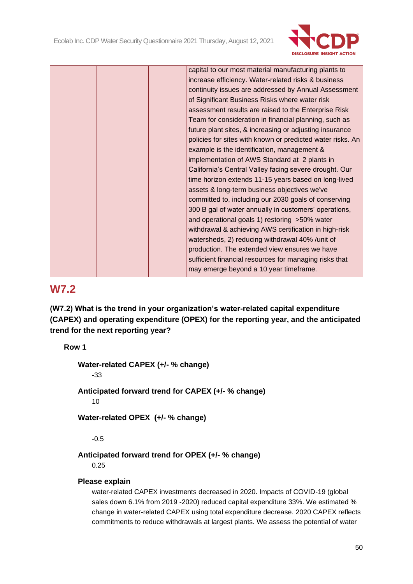

| capital to our most material manufacturing plants to       |
|------------------------------------------------------------|
| increase efficiency. Water-related risks & business        |
| continuity issues are addressed by Annual Assessment       |
| of Significant Business Risks where water risk             |
| assessment results are raised to the Enterprise Risk       |
| Team for consideration in financial planning, such as      |
| future plant sites, & increasing or adjusting insurance    |
| policies for sites with known or predicted water risks. An |
| example is the identification, management &                |
| implementation of AWS Standard at 2 plants in              |
| California's Central Valley facing severe drought. Our     |
| time horizon extends 11-15 years based on long-lived       |
| assets & long-term business objectives we've               |
| committed to, including our 2030 goals of conserving       |
| 300 B gal of water annually in customers' operations,      |
| and operational goals 1) restoring >50% water              |
| withdrawal & achieving AWS certification in high-risk      |
| watersheds, 2) reducing withdrawal 40% / unit of           |
| production. The extended view ensures we have              |
| sufficient financial resources for managing risks that     |
| may emerge beyond a 10 year timeframe.                     |
|                                                            |

# **W7.2**

**(W7.2) What is the trend in your organization's water-related capital expenditure (CAPEX) and operating expenditure (OPEX) for the reporting year, and the anticipated trend for the next reporting year?**

## **Row 1**

**Water-related CAPEX (+/- % change)** -33 **Anticipated forward trend for CAPEX (+/- % change)** 10 **Water-related OPEX (+/- % change)**

-0.5

# **Anticipated forward trend for OPEX (+/- % change)**

0.25

# **Please explain**

water-related CAPEX investments decreased in 2020. Impacts of COVID-19 (global sales down 6.1% from 2019 -2020) reduced capital expenditure 33%. We estimated % change in water-related CAPEX using total expenditure decrease. 2020 CAPEX reflects commitments to reduce withdrawals at largest plants. We assess the potential of water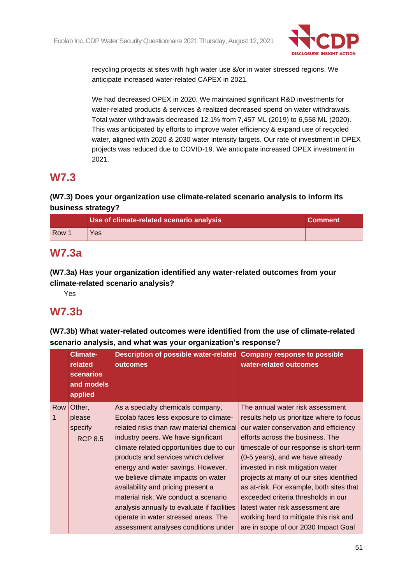

recycling projects at sites with high water use &/or in water stressed regions. We anticipate increased water-related CAPEX in 2021.

We had decreased OPEX in 2020. We maintained significant R&D investments for water-related products & services & realized decreased spend on water withdrawals. Total water withdrawals decreased 12.1% from 7,457 ML (2019) to 6,558 ML (2020). This was anticipated by efforts to improve water efficiency & expand use of recycled water, aligned with 2020 & 2030 water intensity targets. Our rate of investment in OPEX projects was reduced due to COVID-19. We anticipate increased OPEX investment in 2021.

# **W7.3**

# **(W7.3) Does your organization use climate-related scenario analysis to inform its business strategy?**

|                  | Use of climate-related scenario analysis | <b>Comment</b> |
|------------------|------------------------------------------|----------------|
| Row <sup>1</sup> | Yes                                      |                |

# **W7.3a**

**(W7.3a) Has your organization identified any water-related outcomes from your climate-related scenario analysis?**

Yes

# **W7.3b**

**(W7.3b) What water-related outcomes were identified from the use of climate-related scenario analysis, and what was your organization's response?**

|     | <b>Climate-</b><br>related<br><b>scenarios</b><br>and models<br>applied | Description of possible water-related Company response to possible<br>outcomes | water-related outcomes                    |
|-----|-------------------------------------------------------------------------|--------------------------------------------------------------------------------|-------------------------------------------|
| Row | Other,                                                                  | As a specialty chemicals company,                                              | The annual water risk assessment          |
|     | please                                                                  | Ecolab faces less exposure to climate-                                         | results help us prioritize where to focus |
|     | specify                                                                 | related risks than raw material chemical                                       | our water conservation and efficiency     |
|     | <b>RCP 8.5</b>                                                          | industry peers. We have significant                                            | efforts across the business. The          |
|     |                                                                         | climate related opportunities due to our                                       | timescale of our response is short-term   |
|     |                                                                         | products and services which deliver                                            | (0-5 years), and we have already          |
|     |                                                                         | energy and water savings. However,                                             | invested in risk mitigation water         |
|     |                                                                         | we believe climate impacts on water                                            | projects at many of our sites identified  |
|     |                                                                         | availability and pricing present a                                             | as at-risk. For example, both sites that  |
|     |                                                                         | material risk. We conduct a scenario                                           | exceeded criteria thresholds in our       |
|     |                                                                         | analysis annually to evaluate if facilities                                    | latest water risk assessment are          |
|     |                                                                         | operate in water stressed areas. The                                           | working hard to mitigate this risk and    |
|     |                                                                         | assessment analyses conditions under                                           | are in scope of our 2030 Impact Goal      |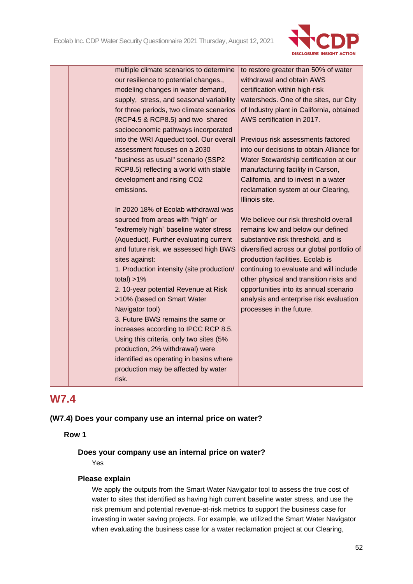

|  | multiple climate scenarios to determine<br>our resilience to potential changes.,<br>modeling changes in water demand,<br>supply, stress, and seasonal variability<br>for three periods, two climate scenarios<br>(RCP4.5 & RCP8.5) and two shared<br>socioeconomic pathways incorporated<br>into the WRI Aqueduct tool. Our overall<br>assessment focuses on a 2030<br>"business as usual" scenario (SSP2<br>RCP8.5) reflecting a world with stable<br>development and rising CO2<br>emissions.<br>In 2020 18% of Ecolab withdrawal was<br>sourced from areas with "high" or<br>"extremely high" baseline water stress<br>(Aqueduct). Further evaluating current<br>and future risk, we assessed high BWS<br>sites against:<br>1. Production intensity (site production/<br>total) $>1\%$<br>2. 10-year potential Revenue at Risk<br>>10% (based on Smart Water<br>Navigator tool)<br>3. Future BWS remains the same or<br>increases according to IPCC RCP 8.5.<br>Using this criteria, only two sites (5%<br>production, 2% withdrawal) were | to restore greater than 50% of water<br>withdrawal and obtain AWS<br>certification within high-risk<br>watersheds. One of the sites, our City<br>of Industry plant in California, obtained<br>AWS certification in 2017.<br>Previous risk assessments factored<br>into our decisions to obtain Alliance for<br>Water Stewardship certification at our<br>manufacturing facility in Carson,<br>California, and to invest in a water<br>reclamation system at our Clearing,<br>Illinois site.<br>We believe our risk threshold overall<br>remains low and below our defined<br>substantive risk threshold, and is<br>diversified across our global portfolio of<br>production facilities. Ecolab is<br>continuing to evaluate and will include<br>other physical and transition risks and<br>opportunities into its annual scenario<br>analysis and enterprise risk evaluation<br>processes in the future. |
|--|-----------------------------------------------------------------------------------------------------------------------------------------------------------------------------------------------------------------------------------------------------------------------------------------------------------------------------------------------------------------------------------------------------------------------------------------------------------------------------------------------------------------------------------------------------------------------------------------------------------------------------------------------------------------------------------------------------------------------------------------------------------------------------------------------------------------------------------------------------------------------------------------------------------------------------------------------------------------------------------------------------------------------------------------------|----------------------------------------------------------------------------------------------------------------------------------------------------------------------------------------------------------------------------------------------------------------------------------------------------------------------------------------------------------------------------------------------------------------------------------------------------------------------------------------------------------------------------------------------------------------------------------------------------------------------------------------------------------------------------------------------------------------------------------------------------------------------------------------------------------------------------------------------------------------------------------------------------------|
|  | identified as operating in basins where<br>production may be affected by water<br>risk.                                                                                                                                                                                                                                                                                                                                                                                                                                                                                                                                                                                                                                                                                                                                                                                                                                                                                                                                                       |                                                                                                                                                                                                                                                                                                                                                                                                                                                                                                                                                                                                                                                                                                                                                                                                                                                                                                          |

# **W7.4**

**(W7.4) Does your company use an internal price on water?**

**Row 1**

## **Does your company use an internal price on water?**

Yes

## **Please explain**

We apply the outputs from the Smart Water Navigator tool to assess the true cost of water to sites that identified as having high current baseline water stress, and use the risk premium and potential revenue-at-risk metrics to support the business case for investing in water saving projects. For example, we utilized the Smart Water Navigator when evaluating the business case for a water reclamation project at our Clearing,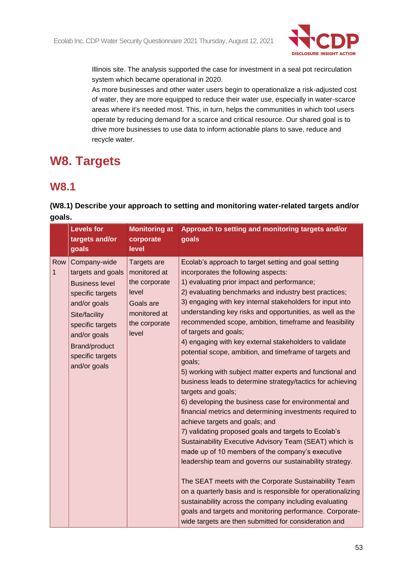

Illinois site. The analysis supported the case for investment in a seal pot recirculation system which became operational in 2020.

As more businesses and other water users begin to operationalize a risk-adjusted cost of water, they are more equipped to reduce their water use, especially in water-scarce areas where it's needed most. This, in turn, helps the communities in which tool users operate by reducing demand for a scarce and critical resource. Our shared goal is to drive more businesses to use data to inform actionable plans to save, reduce and recycle water.

# **W8. Targets**

# **W8.1**

# **(W8.1) Describe your approach to setting and monitoring water-related targets and/or goals.**

|          | <b>Levels for</b><br>targets and/or<br>goals                                                                                                                                                                    | <b>Monitoring at</b><br>corporate<br>level                                                                   | Approach to setting and monitoring targets and/or<br>goals                                                                                                                                                                                                                                                                                                                                                                                                                                                                                                                                                                                                                                                                                                                                                                                                                                                                                                                                                                                                                                                                                                                                                                                                                                                                                                                                         |
|----------|-----------------------------------------------------------------------------------------------------------------------------------------------------------------------------------------------------------------|--------------------------------------------------------------------------------------------------------------|----------------------------------------------------------------------------------------------------------------------------------------------------------------------------------------------------------------------------------------------------------------------------------------------------------------------------------------------------------------------------------------------------------------------------------------------------------------------------------------------------------------------------------------------------------------------------------------------------------------------------------------------------------------------------------------------------------------------------------------------------------------------------------------------------------------------------------------------------------------------------------------------------------------------------------------------------------------------------------------------------------------------------------------------------------------------------------------------------------------------------------------------------------------------------------------------------------------------------------------------------------------------------------------------------------------------------------------------------------------------------------------------------|
| Row<br>1 | Company-wide<br>targets and goals<br><b>Business level</b><br>specific targets<br>and/or goals<br>Site/facility<br>specific targets<br>and/or goals<br><b>Brand/product</b><br>specific targets<br>and/or goals | Targets are<br>monitored at<br>the corporate<br>level<br>Goals are<br>monitored at<br>the corporate<br>level | Ecolab's approach to target setting and goal setting<br>incorporates the following aspects:<br>1) evaluating prior impact and performance;<br>2) evaluating benchmarks and industry best practices;<br>3) engaging with key internal stakeholders for input into<br>understanding key risks and opportunities, as well as the<br>recommended scope, ambition, timeframe and feasibility<br>of targets and goals;<br>4) engaging with key external stakeholders to validate<br>potential scope, ambition, and timeframe of targets and<br>goals;<br>5) working with subject matter experts and functional and<br>business leads to determine strategy/tactics for achieving<br>targets and goals;<br>6) developing the business case for environmental and<br>financial metrics and determining investments required to<br>achieve targets and goals; and<br>7) validating proposed goals and targets to Ecolab's<br>Sustainability Executive Advisory Team (SEAT) which is<br>made up of 10 members of the company's executive<br>leadership team and governs our sustainability strategy.<br>The SEAT meets with the Corporate Sustainability Team<br>on a quarterly basis and is responsible for operationalizing<br>sustainability across the company including evaluating<br>goals and targets and monitoring performance. Corporate-<br>wide targets are then submitted for consideration and |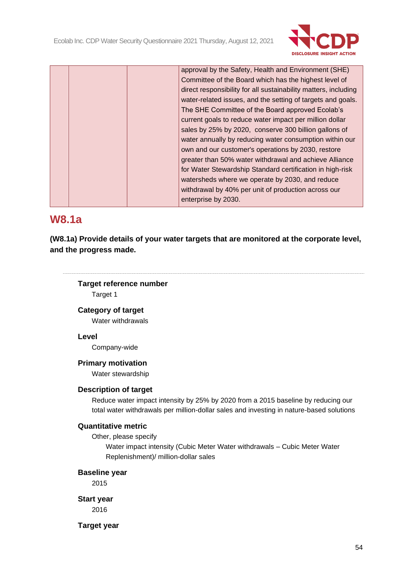

|  | approval by the Safety, Health and Environment (SHE)            |
|--|-----------------------------------------------------------------|
|  | Committee of the Board which has the highest level of           |
|  | direct responsibility for all sustainability matters, including |
|  | water-related issues, and the setting of targets and goals.     |
|  | The SHE Committee of the Board approved Ecolab's                |
|  | current goals to reduce water impact per million dollar         |
|  | sales by 25% by 2020, conserve 300 billion gallons of           |
|  | water annually by reducing water consumption within our         |
|  | own and our customer's operations by 2030, restore              |
|  | greater than 50% water withdrawal and achieve Alliance          |
|  | for Water Stewardship Standard certification in high-risk       |
|  | watersheds where we operate by 2030, and reduce                 |
|  | withdrawal by 40% per unit of production across our             |
|  | enterprise by 2030.                                             |

# **W8.1a**

**(W8.1a) Provide details of your water targets that are monitored at the corporate level, and the progress made.**

# **Target reference number**

Target 1

## **Category of target**

Water withdrawals

## **Level**

Company-wide

# **Primary motivation**

Water stewardship

## **Description of target**

Reduce water impact intensity by 25% by 2020 from a 2015 baseline by reducing our total water withdrawals per million-dollar sales and investing in nature-based solutions

### **Quantitative metric**

Other, please specify

Water impact intensity (Cubic Meter Water withdrawals – Cubic Meter Water Replenishment)/ million-dollar sales

## **Baseline year**

2015

**Start year**

2016

**Target year**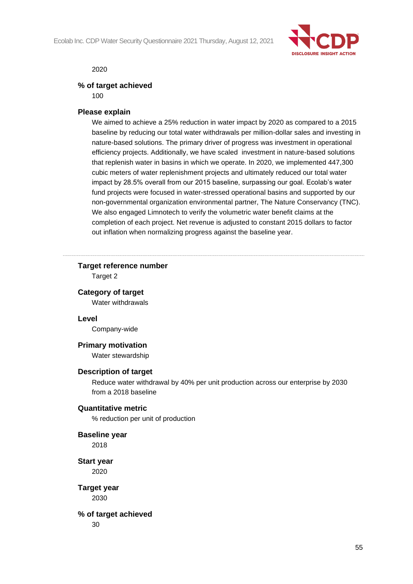

2020

#### **% of target achieved**

100

### **Please explain**

We aimed to achieve a 25% reduction in water impact by 2020 as compared to a 2015 baseline by reducing our total water withdrawals per million-dollar sales and investing in nature-based solutions. The primary driver of progress was investment in operational efficiency projects. Additionally, we have scaled investment in nature-based solutions that replenish water in basins in which we operate. In 2020, we implemented 447,300 cubic meters of water replenishment projects and ultimately reduced our total water impact by 28.5% overall from our 2015 baseline, surpassing our goal. Ecolab's water fund projects were focused in water-stressed operational basins and supported by our non-governmental organization environmental partner, The Nature Conservancy (TNC). We also engaged Limnotech to verify the volumetric water benefit claims at the completion of each project. Net revenue is adjusted to constant 2015 dollars to factor out inflation when normalizing progress against the baseline year.

## **Target reference number**

Target 2

#### **Category of target**

Water withdrawals

#### **Level**

Company-wide

#### **Primary motivation**

Water stewardship

#### **Description of target**

Reduce water withdrawal by 40% per unit production across our enterprise by 2030 from a 2018 baseline

#### **Quantitative metric**

% reduction per unit of production

#### **Baseline year**

2018

# **Start year**

2020

**Target year** 2030

# **% of target achieved**

30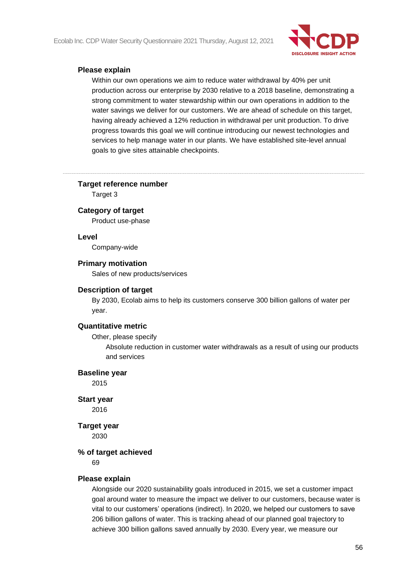Ecolab Inc. CDP Water Security Questionnaire 2021 Thursday, August 12, 2021



## **Please explain**

Within our own operations we aim to reduce water withdrawal by 40% per unit production across our enterprise by 2030 relative to a 2018 baseline, demonstrating a strong commitment to water stewardship within our own operations in addition to the water savings we deliver for our customers. We are ahead of schedule on this target, having already achieved a 12% reduction in withdrawal per unit production. To drive progress towards this goal we will continue introducing our newest technologies and services to help manage water in our plants. We have established site-level annual goals to give sites attainable checkpoints.

### **Target reference number**

Target 3

#### **Category of target**

Product use-phase

#### **Level**

Company-wide

#### **Primary motivation**

Sales of new products/services

#### **Description of target**

By 2030, Ecolab aims to help its customers conserve 300 billion gallons of water per year.

#### **Quantitative metric**

Other, please specify

Absolute reduction in customer water withdrawals as a result of using our products and services

#### **Baseline year**

2015

**Start year** 2016

# **Target year**

2030

#### **% of target achieved**

69

#### **Please explain**

Alongside our 2020 sustainability goals introduced in 2015, we set a customer impact goal around water to measure the impact we deliver to our customers, because water is vital to our customers' operations (indirect). In 2020, we helped our customers to save 206 billion gallons of water. This is tracking ahead of our planned goal trajectory to achieve 300 billion gallons saved annually by 2030. Every year, we measure our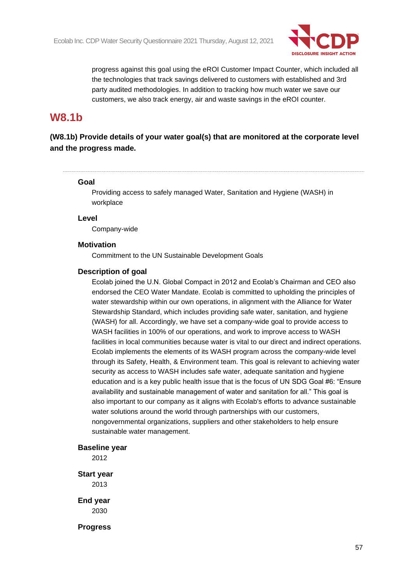

progress against this goal using the eROI Customer Impact Counter, which included all the technologies that track savings delivered to customers with established and 3rd party audited methodologies. In addition to tracking how much water we save our customers, we also track energy, air and waste savings in the eROI counter.

# **W8.1b**

**(W8.1b) Provide details of your water goal(s) that are monitored at the corporate level and the progress made.**

#### **Goal**

Providing access to safely managed Water, Sanitation and Hygiene (WASH) in workplace

**Level**

Company-wide

### **Motivation**

Commitment to the UN Sustainable Development Goals

#### **Description of goal**

Ecolab joined the U.N. Global Compact in 2012 and Ecolab's Chairman and CEO also endorsed the CEO Water Mandate. Ecolab is committed to upholding the principles of water stewardship within our own operations, in alignment with the Alliance for Water Stewardship Standard, which includes providing safe water, sanitation, and hygiene (WASH) for all. Accordingly, we have set a company-wide goal to provide access to WASH facilities in 100% of our operations, and work to improve access to WASH facilities in local communities because water is vital to our direct and indirect operations. Ecolab implements the elements of its WASH program across the company-wide level through its Safety, Health, & Environment team. This goal is relevant to achieving water security as access to WASH includes safe water, adequate sanitation and hygiene education and is a key public health issue that is the focus of UN SDG Goal #6: "Ensure availability and sustainable management of water and sanitation for all." This goal is also important to our company as it aligns with Ecolab's efforts to advance sustainable water solutions around the world through partnerships with our customers, nongovernmental organizations, suppliers and other stakeholders to help ensure sustainable water management.

### **Baseline year**

2012

**Start year** 2013

**End year** 2030

**Progress**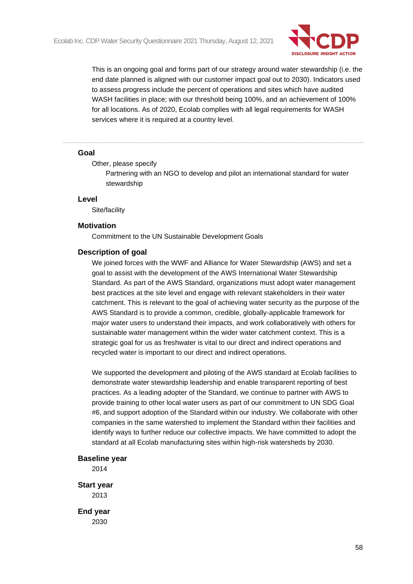

This is an ongoing goal and forms part of our strategy around water stewardship (i.e. the end date planned is aligned with our customer impact goal out to 2030). Indicators used to assess progress include the percent of operations and sites which have audited WASH facilities in place; with our threshold being 100%, and an achievement of 100% for all locations. As of 2020, Ecolab complies with all legal requirements for WASH services where it is required at a country level.

#### **Goal**

Other, please specify

Partnering with an NGO to develop and pilot an international standard for water stewardship

#### **Level**

Site/facility

#### **Motivation**

Commitment to the UN Sustainable Development Goals

#### **Description of goal**

We joined forces with the WWF and Alliance for Water Stewardship (AWS) and set a goal to assist with the development of the AWS International Water Stewardship Standard. As part of the AWS Standard, organizations must adopt water management best practices at the site level and engage with relevant stakeholders in their water catchment. This is relevant to the goal of achieving water security as the purpose of the AWS Standard is to provide a common, credible, globally-applicable framework for major water users to understand their impacts, and work collaboratively with others for sustainable water management within the wider water catchment context. This is a strategic goal for us as freshwater is vital to our direct and indirect operations and recycled water is important to our direct and indirect operations.

We supported the development and piloting of the AWS standard at Ecolab facilities to demonstrate water stewardship leadership and enable transparent reporting of best practices. As a leading adopter of the Standard, we continue to partner with AWS to provide training to other local water users as part of our commitment to UN SDG Goal #6, and support adoption of the Standard within our industry. We collaborate with other companies in the same watershed to implement the Standard within their facilities and identify ways to further reduce our collective impacts. We have committed to adopt the standard at all Ecolab manufacturing sites within high-risk watersheds by 2030.

#### **Baseline year**

2014

**Start year** 2013

**End year** 2030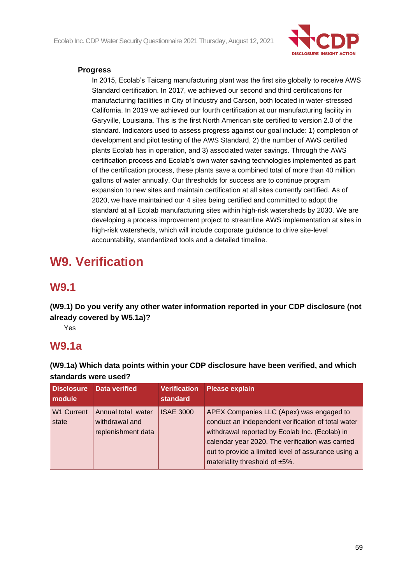

## **Progress**

In 2015, Ecolab's Taicang manufacturing plant was the first site globally to receive AWS Standard certification. In 2017, we achieved our second and third certifications for manufacturing facilities in City of Industry and Carson, both located in water-stressed California. In 2019 we achieved our fourth certification at our manufacturing facility in Garyville, Louisiana. This is the first North American site certified to version 2.0 of the standard. Indicators used to assess progress against our goal include: 1) completion of development and pilot testing of the AWS Standard, 2) the number of AWS certified plants Ecolab has in operation, and 3) associated water savings. Through the AWS certification process and Ecolab's own water saving technologies implemented as part of the certification process, these plants save a combined total of more than 40 million gallons of water annually. Our thresholds for success are to continue program expansion to new sites and maintain certification at all sites currently certified. As of 2020, we have maintained our 4 sites being certified and committed to adopt the standard at all Ecolab manufacturing sites within high-risk watersheds by 2030. We are developing a process improvement project to streamline AWS implementation at sites in high-risk watersheds, which will include corporate guidance to drive site-level accountability, standardized tools and a detailed timeline.

# **W9. Verification**

# **W9.1**

**(W9.1) Do you verify any other water information reported in your CDP disclosure (not already covered by W5.1a)?**

Yes

# **W9.1a**

**(W9.1a) Which data points within your CDP disclosure have been verified, and which standards were used?**

| <b>Disclosure</b><br>module | Data verified                                              | <b>Verification</b><br>standard | Please explain                                                                                                                                                                                                                                                                               |
|-----------------------------|------------------------------------------------------------|---------------------------------|----------------------------------------------------------------------------------------------------------------------------------------------------------------------------------------------------------------------------------------------------------------------------------------------|
| <b>W1 Current</b><br>state  | Annual total water<br>withdrawal and<br>replenishment data | <b>ISAE 3000</b>                | APEX Companies LLC (Apex) was engaged to<br>conduct an independent verification of total water<br>withdrawal reported by Ecolab Inc. (Ecolab) in<br>calendar year 2020. The verification was carried<br>out to provide a limited level of assurance using a<br>materiality threshold of ±5%. |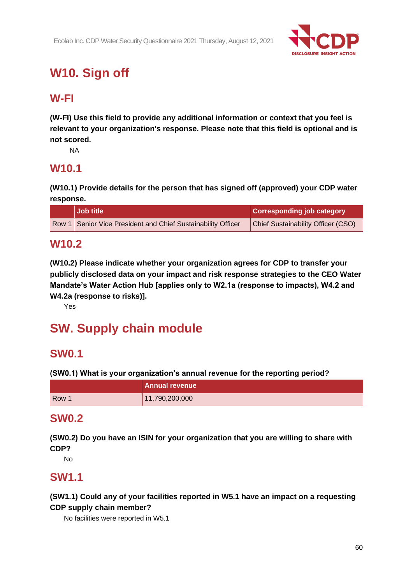

# **W10. Sign off**

# **W-FI**

**(W-FI) Use this field to provide any additional information or context that you feel is relevant to your organization's response. Please note that this field is optional and is not scored.**

NA

# **W10.1**

**(W10.1) Provide details for the person that has signed off (approved) your CDP water response.**

| <b>Job title</b>                                             | <b>Corresponding job category</b>         |
|--------------------------------------------------------------|-------------------------------------------|
| Row 1 Senior Vice President and Chief Sustainability Officer | <b>Chief Sustainability Officer (CSO)</b> |

# **W10.2**

**(W10.2) Please indicate whether your organization agrees for CDP to transfer your publicly disclosed data on your impact and risk response strategies to the CEO Water Mandate's Water Action Hub [applies only to W2.1a (response to impacts), W4.2 and W4.2a (response to risks)].**

Yes

# **SW. Supply chain module**

# **SW0.1**

**(SW0.1) What is your organization's annual revenue for the reporting period?**

|       | <b>Annual revenue</b> |
|-------|-----------------------|
| Row 1 | 11,790,200,000        |

# **SW0.2**

**(SW0.2) Do you have an ISIN for your organization that you are willing to share with CDP?**

No

# **SW1.1**

**(SW1.1) Could any of your facilities reported in W5.1 have an impact on a requesting CDP supply chain member?**

No facilities were reported in W5.1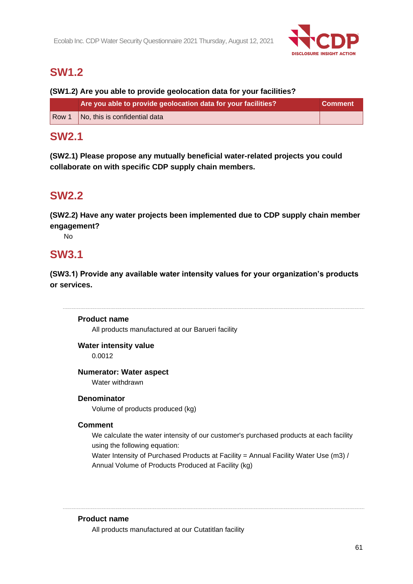

# **SW1.2**

# **(SW1.2) Are you able to provide geolocation data for your facilities?**

| Are you able to provide geolocation data for your facilities? | <b>Comment</b> |
|---------------------------------------------------------------|----------------|
| $\sqrt{ }$ Row 1 $\sqrt{ }$ No, this is confidential data     |                |

# **SW2.1**

**(SW2.1) Please propose any mutually beneficial water-related projects you could collaborate on with specific CDP supply chain members.**

# **SW2.2**

**(SW2.2) Have any water projects been implemented due to CDP supply chain member engagement?**

No

# **SW3.1**

**(SW3.1) Provide any available water intensity values for your organization's products or services.**

# **Product name**

All products manufactured at our Barueri facility

# **Water intensity value**

0.0012

# **Numerator: Water aspect**

Water withdrawn

# **Denominator**

Volume of products produced (kg)

# **Comment**

We calculate the water intensity of our customer's purchased products at each facility using the following equation:

Water Intensity of Purchased Products at Facility = Annual Facility Water Use (m3) / Annual Volume of Products Produced at Facility (kg)

## **Product name**

All products manufactured at our Cutatitlan facility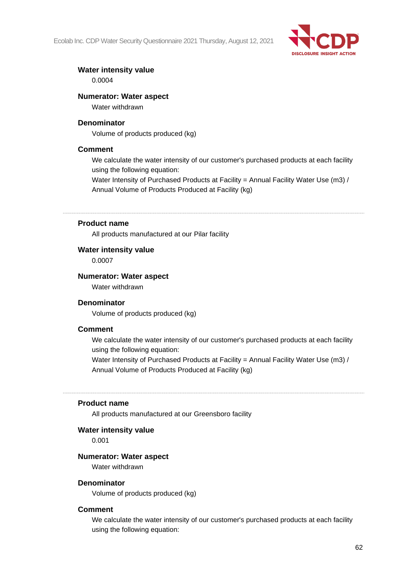Ecolab Inc. CDP Water Security Questionnaire 2021 Thursday, August 12, 2021



# **Water intensity value**

0.0004

## **Numerator: Water aspect**

Water withdrawn

## **Denominator**

Volume of products produced (kg)

## **Comment**

We calculate the water intensity of our customer's purchased products at each facility using the following equation:

Water Intensity of Purchased Products at Facility = Annual Facility Water Use (m3) / Annual Volume of Products Produced at Facility (kg)

## **Product name**

All products manufactured at our Pilar facility

### **Water intensity value**

0.0007

### **Numerator: Water aspect**

Water withdrawn

### **Denominator**

Volume of products produced (kg)

### **Comment**

We calculate the water intensity of our customer's purchased products at each facility using the following equation:

Water Intensity of Purchased Products at Facility = Annual Facility Water Use (m3) / Annual Volume of Products Produced at Facility (kg)

#### **Product name**

All products manufactured at our Greensboro facility

# **Water intensity value**

0.001

#### **Numerator: Water aspect**

Water withdrawn

#### **Denominator**

Volume of products produced (kg)

#### **Comment**

We calculate the water intensity of our customer's purchased products at each facility using the following equation: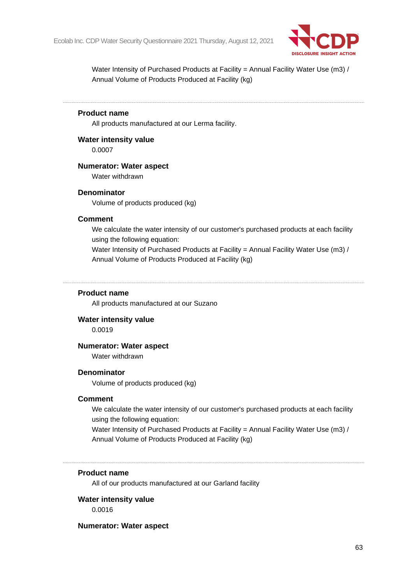

Water Intensity of Purchased Products at Facility = Annual Facility Water Use (m3) / Annual Volume of Products Produced at Facility (kg)

## **Product name**

All products manufactured at our Lerma facility.

**Water intensity value**

0.0007

### **Numerator: Water aspect**

Water withdrawn

#### **Denominator**

Volume of products produced (kg)

#### **Comment**

We calculate the water intensity of our customer's purchased products at each facility using the following equation:

Water Intensity of Purchased Products at Facility = Annual Facility Water Use (m3) / Annual Volume of Products Produced at Facility (kg)

### **Product name**

All products manufactured at our Suzano

#### **Water intensity value**

0.0019

## **Numerator: Water aspect**

Water withdrawn

### **Denominator**

Volume of products produced (kg)

#### **Comment**

We calculate the water intensity of our customer's purchased products at each facility using the following equation:

Water Intensity of Purchased Products at Facility = Annual Facility Water Use (m3) / Annual Volume of Products Produced at Facility (kg)

#### **Product name**

All of our products manufactured at our Garland facility

### **Water intensity value**

0.0016

#### **Numerator: Water aspect**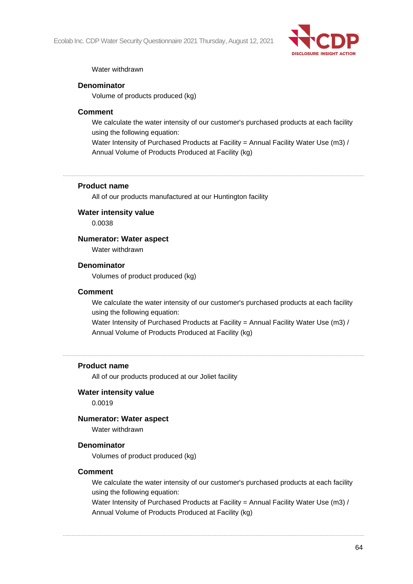Ecolab Inc. CDP Water Security Questionnaire 2021 Thursday, August 12, 2021



## Water withdrawn

## **Denominator**

Volume of products produced (kg)

## **Comment**

We calculate the water intensity of our customer's purchased products at each facility using the following equation:

Water Intensity of Purchased Products at Facility = Annual Facility Water Use (m3) / Annual Volume of Products Produced at Facility (kg)

## **Product name**

All of our products manufactured at our Huntington facility

## **Water intensity value**

0.0038

## **Numerator: Water aspect**

Water withdrawn

### **Denominator**

Volumes of product produced (kg)

### **Comment**

We calculate the water intensity of our customer's purchased products at each facility using the following equation:

Water Intensity of Purchased Products at Facility = Annual Facility Water Use (m3) / Annual Volume of Products Produced at Facility (kg)

### **Product name**

All of our products produced at our Joliet facility

## **Water intensity value**

0.0019

## **Numerator: Water aspect**

Water withdrawn

### **Denominator**

Volumes of product produced (kg)

### **Comment**

We calculate the water intensity of our customer's purchased products at each facility using the following equation:

Water Intensity of Purchased Products at Facility = Annual Facility Water Use (m3) / Annual Volume of Products Produced at Facility (kg)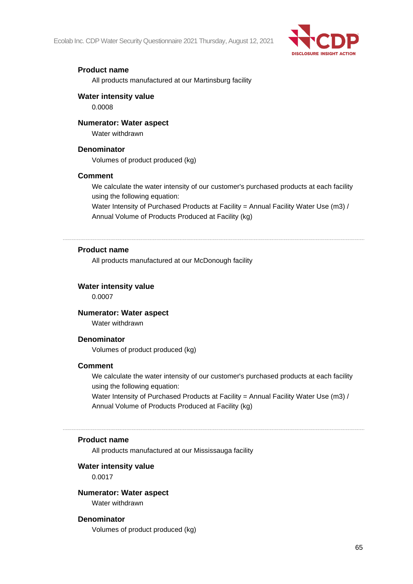Ecolab Inc. CDP Water Security Questionnaire 2021 Thursday, August 12, 2021



## **Product name**

All products manufactured at our Martinsburg facility

## **Water intensity value**

0.0008

## **Numerator: Water aspect**

Water withdrawn

### **Denominator**

Volumes of product produced (kg)

### **Comment**

We calculate the water intensity of our customer's purchased products at each facility using the following equation:

Water Intensity of Purchased Products at Facility = Annual Facility Water Use (m3) / Annual Volume of Products Produced at Facility (kg)

## **Product name**

All products manufactured at our McDonough facility

## **Water intensity value**

0.0007

# **Numerator: Water aspect**

Water withdrawn

## **Denominator**

Volumes of product produced (kg)

### **Comment**

We calculate the water intensity of our customer's purchased products at each facility using the following equation:

Water Intensity of Purchased Products at Facility = Annual Facility Water Use (m3) / Annual Volume of Products Produced at Facility (kg)

### **Product name**

All products manufactured at our Mississauga facility

### **Water intensity value**

0.0017

### **Numerator: Water aspect**

Water withdrawn

### **Denominator**

Volumes of product produced (kg)